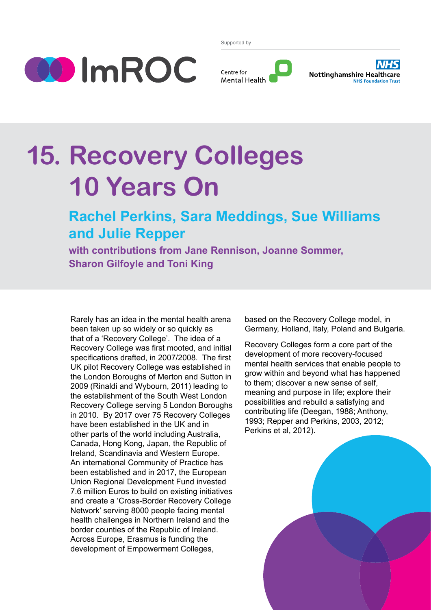

Supported by





# **15. Recovery Colleges 10 Years On**

# **Rachel Perkins, Sara Meddings, Sue Williams and Julie Repper**

**with contributions from Jane Rennison, Joanne Sommer, Sharon Gilfoyle and Toni King**

Rarely has an idea in the mental health arena been taken up so widely or so quickly as that of a 'Recovery College'. The idea of a Recovery College was first mooted, and initial specifications drafted, in 2007/2008. The first UK pilot Recovery College was established in the London Boroughs of Merton and Sutton in 2009 (Rinaldi and Wybourn, 2011) leading to the establishment of the South West London Recovery College serving 5 London Boroughs in 2010. By 2017 over 75 Recovery Colleges have been established in the UK and in other parts of the world including Australia, Canada, Hong Kong, Japan, the Republic of Ireland, Scandinavia and Western Europe. An international Community of Practice has been established and in 2017, the European Union Regional Development Fund invested 7.6 million Euros to build on existing initiatives and create a 'Cross-Border Recovery College Network' serving 8000 people facing mental health challenges in Northern Ireland and the border counties of the Republic of Ireland. Across Europe, Erasmus is funding the development of Empowerment Colleges,

based on the Recovery College model, in Germany, Holland, Italy, Poland and Bulgaria.

Recovery Colleges form a core part of the development of more recovery-focused mental health services that enable people to grow within and beyond what has happened to them; discover a new sense of self, meaning and purpose in life; explore their possibilities and rebuild a satisfying and contributing life (Deegan, 1988; Anthony, 1993; Repper and Perkins, 2003, 2012; Perkins et al, 2012).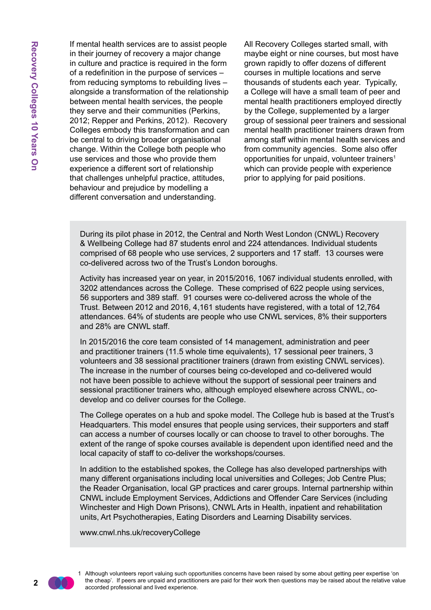If mental health services are to assist people in their journey of recovery a major change in culture and practice is required in the form of a redefinition in the purpose of services – from reducing symptoms to rebuilding lives – alongside a transformation of the relationship between mental health services, the people they serve and their communities (Perkins, 2012; Repper and Perkins, 2012). Recovery Colleges embody this transformation and can be central to driving broader organisational change. Within the College both people who use services and those who provide them experience a different sort of relationship that challenges unhelpful practice, attitudes, behaviour and prejudice by modelling a different conversation and understanding.

All Recovery Colleges started small, with maybe eight or nine courses, but most have grown rapidly to offer dozens of different courses in multiple locations and serve thousands of students each year. Typically, a College will have a small team of peer and mental health practitioners employed directly by the College, supplemented by a larger group of sessional peer trainers and sessional mental health practitioner trainers drawn from among staff within mental health services and from community agencies. Some also offer opportunities for unpaid, volunteer trainers<sup>1</sup> which can provide people with experience prior to applying for paid positions.

During its pilot phase in 2012, the Central and North West London (CNWL) Recovery & Wellbeing College had 87 students enrol and 224 attendances. Individual students comprised of 68 people who use services, 2 supporters and 17 staff. 13 courses were co-delivered across two of the Trust's London boroughs.

Activity has increased year on year, in 2015/2016, 1067 individual students enrolled, with 3202 attendances across the College. These comprised of 622 people using services, 56 supporters and 389 staff. 91 courses were co-delivered across the whole of the Trust. Between 2012 and 2016, 4,161 students have registered, with a total of 12,764 attendances. 64% of students are people who use CNWL services, 8% their supporters and 28% are CNWL staff.

In 2015/2016 the core team consisted of 14 management, administration and peer and practitioner trainers (11.5 whole time equivalents), 17 sessional peer trainers, 3 volunteers and 38 sessional practitioner trainers (drawn from existing CNWL services). The increase in the number of courses being co-developed and co-delivered would not have been possible to achieve without the support of sessional peer trainers and sessional practitioner trainers who, although employed elsewhere across CNWL, codevelop and co deliver courses for the College.

The College operates on a hub and spoke model. The College hub is based at the Trust's Headquarters. This model ensures that people using services, their supporters and staff can access a number of courses locally or can choose to travel to other boroughs. The extent of the range of spoke courses available is dependent upon identified need and the local capacity of staff to co-deliver the workshops/courses.

In addition to the established spokes, the College has also developed partnerships with many different organisations including local universities and Colleges; Job Centre Plus; the Reader Organisation, local GP practices and carer groups. Internal partnership within CNWL include Employment Services, Addictions and Offender Care Services (including Winchester and High Down Prisons), CNWL Arts in Health, inpatient and rehabilitation units, Art Psychotherapies, Eating Disorders and Learning Disability services.

www.cnwl.nhs.uk/recoveryCollege

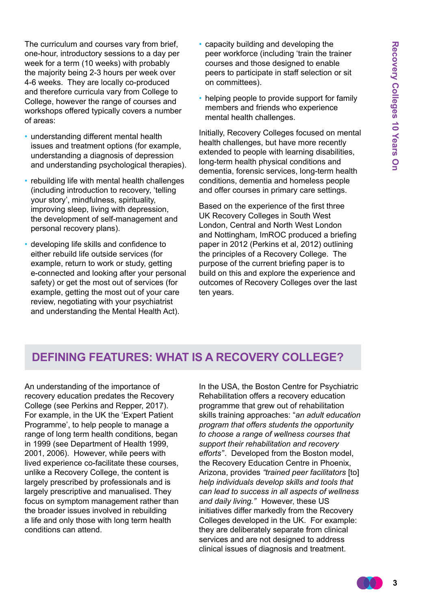The curriculum and courses vary from brief, one-hour, introductory sessions to a day per week for a term (10 weeks) with probably the majority being 2-3 hours per week over 4-6 weeks. They are locally co-produced and therefore curricula vary from College to College, however the range of courses and workshops offered typically covers a number of areas:

- understanding different mental health issues and treatment options (for example, understanding a diagnosis of depression and understanding psychological therapies).
- rebuilding life with mental health challenges (including introduction to recovery, 'telling your story', mindfulness, spirituality, improving sleep, living with depression, the development of self-management and personal recovery plans).
- developing life skills and confidence to either rebuild life outside services (for example, return to work or study, getting e-connected and looking after your personal safety) or get the most out of services (for example, getting the most out of your care review, negotiating with your psychiatrist and understanding the Mental Health Act).
- capacity building and developing the peer workforce (including 'train the trainer courses and those designed to enable peers to participate in staff selection or sit on committees).
- helping people to provide support for family members and friends who experience mental health challenges.

Initially, Recovery Colleges focused on mental health challenges, but have more recently extended to people with learning disabilities, long-term health physical conditions and dementia, forensic services, long-term health conditions, dementia and homeless people and offer courses in primary care settings.

Based on the experience of the first three UK Recovery Colleges in South West London, Central and North West London and Nottingham, ImROC produced a briefing paper in 2012 (Perkins et al, 2012) outlining the principles of a Recovery College. The purpose of the current briefing paper is to build on this and explore the experience and outcomes of Recovery Colleges over the last ten years.

## **Defining Features: What is a Recovery College?**

An understanding of the importance of recovery education predates the Recovery College (see Perkins and Repper, 2017). For example, in the UK the 'Expert Patient Programme', to help people to manage a range of long term health conditions, began in 1999 (see Department of Health 1999, 2001, 2006). However, while peers with lived experience co-facilitate these courses, unlike a Recovery College, the content is largely prescribed by professionals and is largely prescriptive and manualised. They focus on symptom management rather than the broader issues involved in rebuilding a life and only those with long term health conditions can attend.

In the USA, the Boston Centre for Psychiatric Rehabilitation offers a recovery education programme that grew out of rehabilitation skills training approaches: "*an adult education program that offers students the opportunity to choose a range of wellness courses that support their rehabilitation and recovery efforts"*. Developed from the Boston model, the Recovery Education Centre in Phoenix, Arizona, provides *"trained peer facilitators* [to] *help individuals develop skills and tools that can lead to success in all aspects of wellness and daily living."* However, these US initiatives differ markedly from the Recovery Colleges developed in the UK. For example: they are deliberately separate from clinical services and are not designed to address clinical issues of diagnosis and treatment.

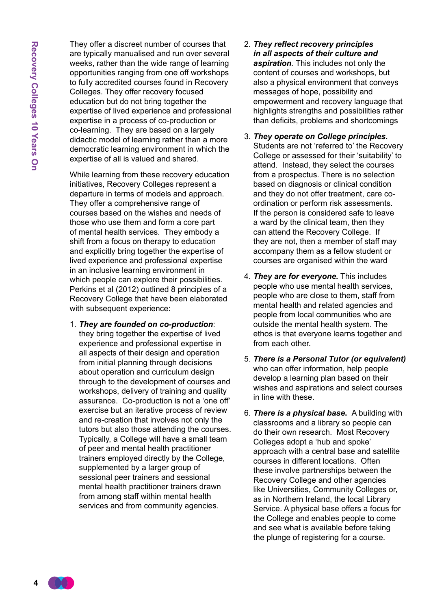They offer a discreet number of courses that are typically manualised and run over several weeks, rather than the wide range of learning opportunities ranging from one off workshops to fully accredited courses found in Recovery Colleges. They offer recovery focused education but do not bring together the expertise of lived experience and professional expertise in a process of co-production or co-learning. They are based on a largely didactic model of learning rather than a more democratic learning environment in which the expertise of all is valued and shared.

While learning from these recovery education initiatives, Recovery Colleges represent a departure in terms of models and approach. They offer a comprehensive range of courses based on the wishes and needs of those who use them and form a core part of mental health services. They embody a shift from a focus on therapy to education and explicitly bring together the expertise of lived experience and professional expertise in an inclusive learning environment in which people can explore their possibilities. Perkins et al (2012) outlined 8 principles of a Recovery College that have been elaborated with subsequent experience:

1. *They are founded on co-production*: they bring together the expertise of lived experience and professional expertise in all aspects of their design and operation from initial planning through decisions about operation and curriculum design through to the development of courses and workshops, delivery of training and quality assurance. Co-production is not a 'one off' exercise but an iterative process of review and re-creation that involves not only the tutors but also those attending the courses. Typically, a College will have a small team of peer and mental health practitioner trainers employed directly by the College, supplemented by a larger group of sessional peer trainers and sessional mental health practitioner trainers drawn from among staff within mental health services and from community agencies.

- 2. *They reflect recovery principles in all aspects of their culture and aspiration.* This includes not only the content of courses and workshops, but also a physical environment that conveys messages of hope, possibility and empowerment and recovery language that highlights strengths and possibilities rather than deficits, problems and shortcomings
- 3. *They operate on College principles.* Students are not 'referred to' the Recovery College or assessed for their 'suitability' to attend. Instead, they select the courses from a prospectus. There is no selection based on diagnosis or clinical condition and they do not offer treatment, care coordination or perform risk assessments. If the person is considered safe to leave a ward by the clinical team, then they can attend the Recovery College. If they are not, then a member of staff may accompany them as a fellow student or courses are organised within the ward
- 4. *They are for everyone.* This includes people who use mental health services, people who are close to them, staff from mental health and related agencies and people from local communities who are outside the mental health system. The ethos is that everyone learns together and from each other.
- 5. *There is a Personal Tutor (or equivalent)* who can offer information, help people develop a learning plan based on their wishes and aspirations and select courses in line with these.
- 6. *There is a physical base***.** A building with classrooms and a library so people can do their own research. Most Recovery Colleges adopt a 'hub and spoke' approach with a central base and satellite courses in different locations. Often these involve partnerships between the Recovery College and other agencies like Universities, Community Colleges or, as in Northern Ireland, the local Library Service. A physical base offers a focus for the College and enables people to come and see what is available before taking the plunge of registering for a course.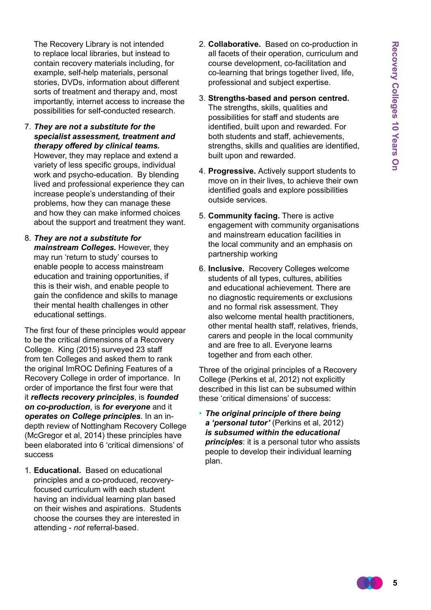The Recovery Library is not intended to replace local libraries, but instead to contain recovery materials including, for example, self-help materials, personal stories, DVDs, information about different sorts of treatment and therapy and, most importantly, internet access to increase the possibilities for self-conducted research.

7. *They are not a substitute for the specialist assessment, treatment and therapy offered by clinical teams.* 

However, they may replace and extend a variety of less specific groups, individual work and psycho-education. By blending lived and professional experience they can increase people's understanding of their problems, how they can manage these and how they can make informed choices about the support and treatment they want.

8. *They are not a substitute for mainstream Colleges.* However, they may run 'return to study' courses to enable people to access mainstream education and training opportunities, if this is their wish, and enable people to gain the confidence and skills to manage their mental health challenges in other educational settings.

The first four of these principles would appear to be the critical dimensions of a Recovery College. King (2015) surveyed 23 staff from ten Colleges and asked them to rank the original ImROC Defining Features of a Recovery College in order of importance. In order of importance the first four were that it *reflects recovery principles*, is *founded on co-production*, is *for everyone* and it *operates on College principles*. In an indepth review of Nottingham Recovery College (McGregor et al, 2014) these principles have been elaborated into 6 'critical dimensions' of success

1. **Educational.** Based on educational principles and a co-produced, recoveryfocused curriculum with each student having an individual learning plan based on their wishes and aspirations. Students choose the courses they are interested in attending - *not* referral-based.

- 2. **Collaborative.** Based on co-production in all facets of their operation, curriculum and course development, co-facilitation and co-learning that brings together lived, life, professional and subject expertise.
- 3. **Strengths-based and person centred.**  The strengths, skills, qualities and possibilities for staff and students are identified, built upon and rewarded. For both students and staff, achievements, strengths, skills and qualities are identified, built upon and rewarded.
- 4. **Progressive.** Actively support students to move on in their lives, to achieve their own identified goals and explore possibilities outside services.
- 5. **Community facing.** There is active engagement with community organisations and mainstream education facilities in the local community and an emphasis on partnership working
- 6. **Inclusive.** Recovery Colleges welcome students of all types, cultures, abilities and educational achievement. There are no diagnostic requirements or exclusions and no formal risk assessment. They also welcome mental health practitioners, other mental health staff, relatives, friends, carers and people in the local community and are free to all. Everyone learns together and from each other.

Three of the original principles of a Recovery College (Perkins et al, 2012) not explicitly described in this list can be subsumed within these 'critical dimensions' of success:

• *The original principle of there being a 'personal tutor'* (Perkins et al, 2012) *is subsumed within the educational principles*: it is a personal tutor who assists people to develop their individual learning plan.

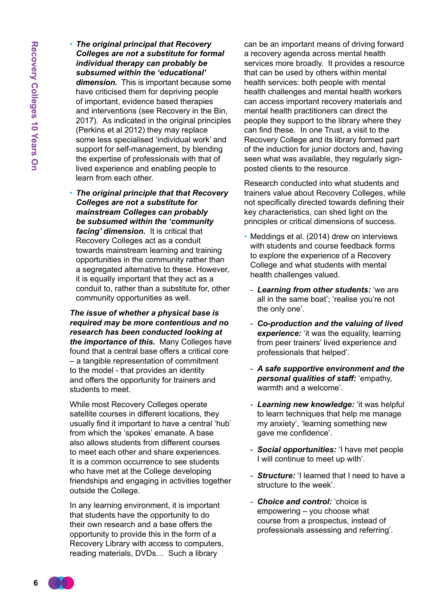- *The original principal that Recovery Colleges are not a substitute for formal individual therapy can probably be subsumed within the 'educational' dimension.* This is important because some have criticised them for depriving people of important, evidence based therapies and interventions (see Recovery in the Bin, 2017). As indicated in the original principles (Perkins et al 2012) they may replace some less specialised 'individual work' and support for self-management, by blending the expertise of professionals with that of lived experience and enabling people to learn from each other.
- *The original principle that that Recovery Colleges are not a substitute for mainstream Colleges can probably be subsumed within the 'community facing' dimension.* It is critical that Recovery Colleges act as a conduit towards mainstream learning and training opportunities in the community rather than a segregated alternative to these. However, it is equally important that they act as a conduit to, rather than a substitute for, other community opportunities as well.

*The issue of whether a physical base is required may be more contentious and no research has been conducted looking at the importance of this.* Many Colleges have found that a central base offers a critical core – a tangible representation of commitment to the model - that provides an identity and offers the opportunity for trainers and students to meet.

While most Recovery Colleges operate satellite courses in different locations, they usually find it important to have a central 'hub' from which the 'spokes' emanate. A base also allows students from different courses to meet each other and share experiences. It is a common occurrence to see students who have met at the College developing friendships and engaging in activities together outside the College.

In any learning environment, it is important that students have the opportunity to do their own research and a base offers the opportunity to provide this in the form of a Recovery Library with access to computers, reading materials, DVDs… Such a library

can be an important means of driving forward a recovery agenda across mental health services more broadly. It provides a resource that can be used by others within mental health services: both people with mental health challenges and mental health workers can access important recovery materials and mental health practitioners can direct the people they support to the library where they can find these. In one Trust, a visit to the Recovery College and its library formed part of the induction for junior doctors and, having seen what was available, they regularly signposted clients to the resource.

Research conducted into what students and trainers value about Recovery Colleges, while not specifically directed towards defining their key characteristics, can shed light on the principles or critical dimensions of success.

- Meddings et al. (2014) drew on interviews with students and course feedback forms to explore the experience of a Recovery College and what students with mental health challenges valued.
	- *Learning from other students:* 'we are all in the same boat'; 'realise you're not the only one'.
	- *Co-production and the valuing of lived experience:* 'it was the equality, learning from peer trainers' lived experience and professionals that helped'.
	- *A safe supportive environment and the personal qualities of staff:* 'empathy, warmth and a welcome'.
	- *Learning new knowledge:* 'it was helpful to learn techniques that help me manage my anxiety', 'learning something new gave me confidence'.
	- *Social opportunities:* 'I have met people I will continue to meet up with'.
	- *Structure:* 'I learned that I need to have a structure to the week'.
	- *Choice and control:* 'choice is empowering – you choose what course from a prospectus, instead of professionals assessing and referring'.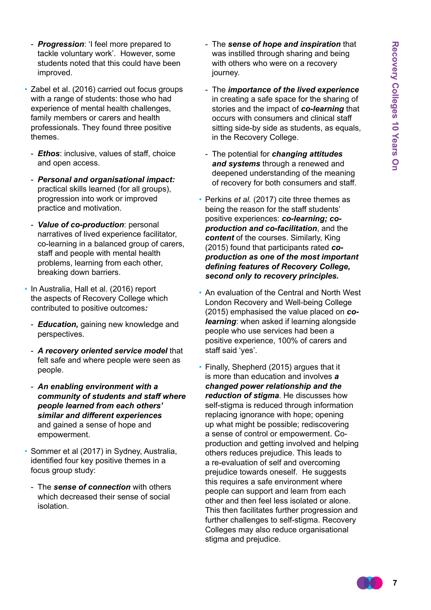- *Progression*: 'I feel more prepared to tackle voluntary work'. However, some students noted that this could have been improved.
- Zabel et al. (2016) carried out focus groups with a range of students: those who had experience of mental health challenges, family members or carers and health professionals. They found three positive themes.
- *Ethos*: inclusive, values of staff, choice and open access.
- *Personal and organisational impact:* practical skills learned (for all groups), progression into work or improved practice and motivation.
- *Value of co-production*: personal narratives of lived experience facilitator, co-learning in a balanced group of carers, staff and people with mental health problems, learning from each other, breaking down barriers.
- In Australia, Hall et al. (2016) report the aspects of Recovery College which contributed to positive outcomes*:* 
	- *Education,* gaining new knowledge and perspectives.
	- *A recovery oriented service model* that felt safe and where people were seen as people.
	- *An enabling environment with a community of students and staff where people learned from each others' similar and different experiences*  and gained a sense of hope and empowerment.
- Sommer et al (2017) in Sydney, Australia, identified four key positive themes in a focus group study:
	- -The *sense of connection* with others which decreased their sense of social isolation.
- -The *sense of hope and inspiration* that was instilled through sharing and being with others who were on a recovery journey.
- -The *importance of the lived experience* in creating a safe space for the sharing of stories and the impact of *co-learning* that occurs with consumers and clinical staff sitting side-by side as students, as equals, in the Recovery College.
- -The potential for *changing attitudes and systems* through a renewed and deepened understanding of the meaning of recovery for both consumers and staff.
- Perkins *et al.* (2017) cite three themes as being the reason for the staff students' positive experiences: *co-learning; coproduction and co-facilitation*, and the *content* of the courses. Similarly, King (2015) found that participants rated *coproduction as one of the most important defining features of Recovery College, second only to recovery principles.*
- An evaluation of the Central and North West London Recovery and Well-being College (2015) emphasised the value placed on *colearning*: when asked if learning alongside people who use services had been a positive experience, 100% of carers and staff said 'yes'.
- Finally, Shepherd (2015) argues that it is more than education and involves *a changed power relationship and the reduction of stigma*. He discusses how self-stigma is reduced through information replacing ignorance with hope; opening up what might be possible; rediscovering a sense of control or empowerment. Coproduction and getting involved and helping others reduces prejudice. This leads to a re-evaluation of self and overcoming prejudice towards oneself. He suggests this requires a safe environment where people can support and learn from each other and then feel less isolated or alone. This then facilitates further progression and further challenges to self-stigma. Recovery Colleges may also reduce organisational stigma and prejudice.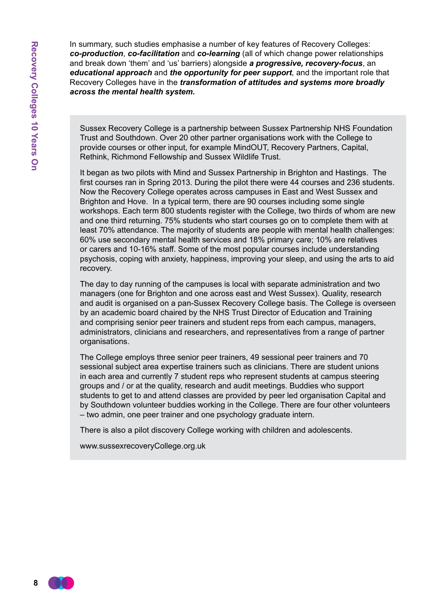In summary, such studies emphasise a number of key features of Recovery Colleges: *co-production*, *co-facilitation* and *co-learning* (all of which change power relationships and break down 'them' and 'us' barriers) alongside *a progressive, recovery-focus*, an *educational approach* and *the opportunity for peer support*, and the important role that Recovery Colleges have in the *transformation of attitudes and systems more broadly across the mental health system.*

Sussex Recovery College is a partnership between Sussex Partnership NHS Foundation Trust and Southdown. Over 20 other partner organisations work with the College to provide courses or other input, for example MindOUT, Recovery Partners, Capital, Rethink, Richmond Fellowship and Sussex Wildlife Trust.

It began as two pilots with Mind and Sussex Partnership in Brighton and Hastings. The first courses ran in Spring 2013. During the pilot there were 44 courses and 236 students. Now the Recovery College operates across campuses in East and West Sussex and Brighton and Hove. In a typical term, there are 90 courses including some single workshops. Each term 800 students register with the College, two thirds of whom are new and one third returning. 75% students who start courses go on to complete them with at least 70% attendance. The majority of students are people with mental health challenges: 60% use secondary mental health services and 18% primary care; 10% are relatives or carers and 10-16% staff. Some of the most popular courses include understanding psychosis, coping with anxiety, happiness, improving your sleep, and using the arts to aid recovery.

The day to day running of the campuses is local with separate administration and two managers (one for Brighton and one across east and West Sussex). Quality, research and audit is organised on a pan-Sussex Recovery College basis. The College is overseen by an academic board chaired by the NHS Trust Director of Education and Training and comprising senior peer trainers and student reps from each campus, managers, administrators, clinicians and researchers, and representatives from a range of partner organisations.

The College employs three senior peer trainers, 49 sessional peer trainers and 70 sessional subject area expertise trainers such as clinicians. There are student unions in each area and currently 7 student reps who represent students at campus steering groups and / or at the quality, research and audit meetings. Buddies who support students to get to and attend classes are provided by peer led organisation Capital and by Southdown volunteer buddies working in the College. There are four other volunteers – two admin, one peer trainer and one psychology graduate intern.

There is also a pilot discovery College working with children and adolescents.

www.sussexrecoveryCollege.org.uk

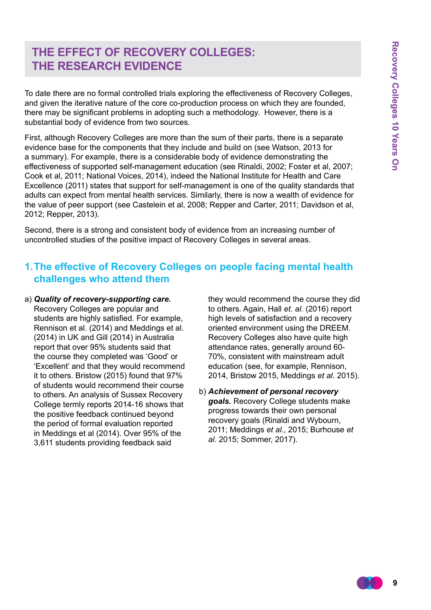## **The Effect of Recovery Colleges: The Research Evidence**

To date there are no formal controlled trials exploring the effectiveness of Recovery Colleges, and given the iterative nature of the core co-production process on which they are founded, there may be significant problems in adopting such a methodology. However, there is a substantial body of evidence from two sources.

First, although Recovery Colleges are more than the sum of their parts, there is a separate evidence base for the components that they include and build on (see Watson, 2013 for a summary). For example, there is a considerable body of evidence demonstrating the effectiveness of supported self-management education (see Rinaldi, 2002; Foster et al, 2007; Cook et al, 2011; National Voices, 2014), indeed the National Institute for Health and Care Excellence (2011) states that support for self-management is one of the quality standards that adults can expect from mental health services. Similarly, there is now a wealth of evidence for the value of peer support (see Castelein et al, 2008; Repper and Carter, 2011; Davidson et al, 2012; Repper, 2013).

Second, there is a strong and consistent body of evidence from an increasing number of uncontrolled studies of the positive impact of Recovery Colleges in several areas.

## **1. The effective of Recovery Colleges on people facing mental health challenges who attend them**

a) *Quality of recovery-supporting care.*  Recovery Colleges are popular and students are highly satisfied. For example, Rennison et al. (2014) and Meddings et al. (2014) in UK and Gill (2014) in Australia report that over 95% students said that the course they completed was 'Good' or 'Excellent' and that they would recommend it to others. Bristow (2015) found that 97% of students would recommend their course to others. An analysis of Sussex Recovery College termly reports 2014-16 shows that the positive feedback continued beyond the period of formal evaluation reported in Meddings et al (2014). Over 95% of the 3,611 students providing feedback said

they would recommend the course they did to others. Again, Hall *et. al.* (2016) report high levels of satisfaction and a recovery oriented environment using the DREEM. Recovery Colleges also have quite high attendance rates, generally around 60- 70%, consistent with mainstream adult education (see, for example, Rennison, 2014, Bristow 2015, Meddings *et al.* 2015).

b) *Achievement of personal recovery goals.* Recovery College students make progress towards their own personal recovery goals (Rinaldi and Wybourn, 2011; Meddings *et al*., 2015; Burhouse *et al*. 2015; Sommer, 2017).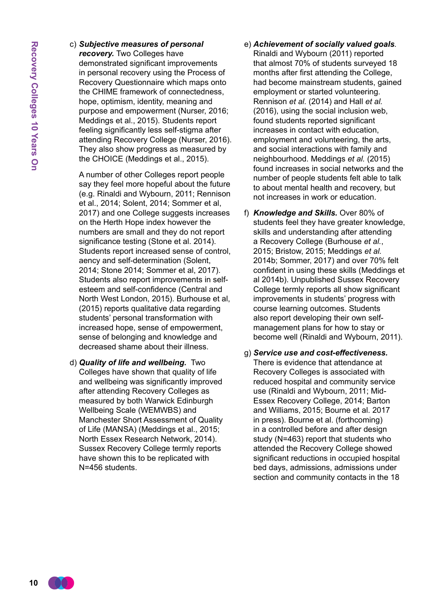#### c) *Subjective measures of personal*

*recovery.* Two Colleges have demonstrated significant improvements in personal recovery using the Process of Recovery Questionnaire which maps onto the CHIME framework of connectedness, hope, optimism, identity, meaning and purpose and empowerment (Nurser, 2016; Meddings et al., 2015). Students report feeling significantly less self-stigma after attending Recovery College (Nurser, 2016). They also show progress as measured by the CHOICE (Meddings et al., 2015).

 A number of other Colleges report people say they feel more hopeful about the future (e.g. Rinaldi and Wybourn, 2011; Rennison et al., 2014; Solent, 2014; Sommer et al, 2017) and one College suggests increases on the Herth Hope index however the numbers are small and they do not report significance testing (Stone et al. 2014). Students report increased sense of control, aency and self-determination (Solent, 2014; Stone 2014; Sommer et al, 2017). Students also report improvements in selfesteem and self-confidence (Central and North West London, 2015). Burhouse et al, (2015) reports qualitative data regarding students' personal transformation with increased hope, sense of empowerment, sense of belonging and knowledge and decreased shame about their illness.

d) *Quality of life and wellbeing.* Two Colleges have shown that quality of life and wellbeing was significantly improved after attending Recovery Colleges as measured by both Warwick Edinburgh Wellbeing Scale (WEMWBS) and Manchester Short Assessment of Quality of Life (MANSA) (Meddings et al., 2015; North Essex Research Network, 2014). Sussex Recovery College termly reports have shown this to be replicated with N=456 students.

#### e) *Achievement of socially valued goals.*

Rinaldi and Wybourn (2011) reported that almost 70% of students surveyed 18 months after first attending the College, had become mainstream students, gained employment or started volunteering. Rennison *et al.* (2014) and Hall *et al.* (2016), using the social inclusion web, found students reported significant increases in contact with education, employment and volunteering, the arts, and social interactions with family and neighbourhood. Meddings *et al.* (2015) found increases in social networks and the number of people students felt able to talk to about mental health and recovery, but not increases in work or education.

- f) *Knowledge and Skills.* Over 80% of students feel they have greater knowledge, skills and understanding after attending a Recovery College (Burhouse *et al.*, 2015; Bristow, 2015; Meddings *et al.* 2014b; Sommer, 2017) and over 70% felt confident in using these skills (Meddings et al 2014b). Unpublished Sussex Recovery College termly reports all show significant improvements in students' progress with course learning outcomes. Students also report developing their own selfmanagement plans for how to stay or become well (Rinaldi and Wybourn, 2011).
- g) *Service use and cost-effectiveness.* There is evidence that attendance at Recovery Colleges is associated with reduced hospital and community service use (Rinaldi and Wybourn, 2011; Mid-Essex Recovery College, 2014; Barton and Williams, 2015; Bourne et al. 2017 in press). Bourne et al. (forthcoming) in a controlled before and after design study (N=463) report that students who attended the Recovery College showed significant reductions in occupied hospital bed days, admissions, admissions under section and community contacts in the 18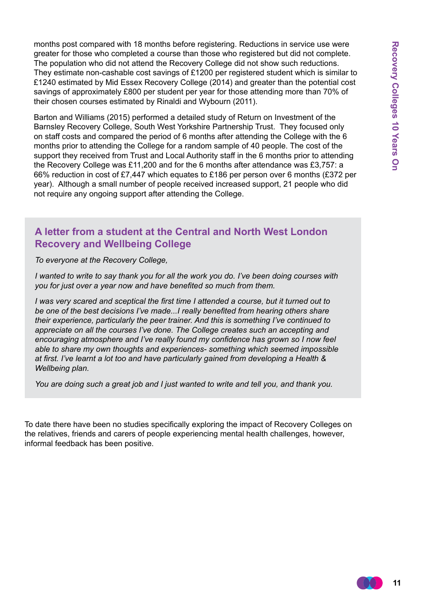months post compared with 18 months before registering. Reductions in service use were greater for those who completed a course than those who registered but did not complete. The population who did not attend the Recovery College did not show such reductions. They estimate non-cashable cost savings of £1200 per registered student which is similar to £1240 estimated by Mid Essex Recovery College (2014) and greater than the potential cost savings of approximately £800 per student per year for those attending more than 70% of their chosen courses estimated by Rinaldi and Wybourn (2011).

Barton and Williams (2015) performed a detailed study of Return on Investment of the Barnsley Recovery College, South West Yorkshire Partnership Trust. They focused only on staff costs and compared the period of 6 months after attending the College with the 6 months prior to attending the College for a random sample of 40 people. The cost of the support they received from Trust and Local Authority staff in the 6 months prior to attending the Recovery College was £11,200 and for the 6 months after attendance was £3,757: a 66% reduction in cost of £7,447 which equates to £186 per person over 6 months (£372 per year). Although a small number of people received increased support, 21 people who did not require any ongoing support after attending the College.

#### **A letter from a student at the Central and North West London Recovery and Wellbeing College**

*To everyone at the Recovery College,*

*I wanted to write to say thank you for all the work you do. I've been doing courses with you for just over a year now and have benefited so much from them.*

*I was very scared and sceptical the first time I attended a course, but it turned out to be one of the best decisions I've made...I really benefited from hearing others share their experience, particularly the peer trainer. And this is something I've continued to appreciate on all the courses I've done. The College creates such an accepting and encouraging atmosphere and I've really found my confidence has grown so I now feel able to share my own thoughts and experiences- something which seemed impossible at first. I've learnt a lot too and have particularly gained from developing a Health & Wellbeing plan.*

*You are doing such a great job and I just wanted to write and tell you, and thank you.* 

To date there have been no studies specifically exploring the impact of Recovery Colleges on the relatives, friends and carers of people experiencing mental health challenges, however, informal feedback has been positive.

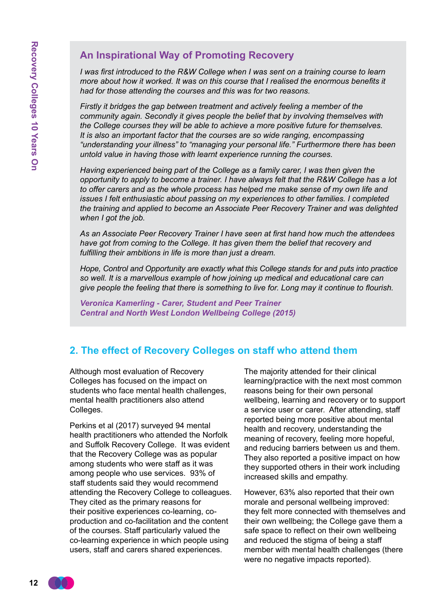## **An Inspirational Way of Promoting Recovery**

*I* was first introduced to the R&W College when I was sent on a training course to learn *more about how it worked. It was on this course that I realised the enormous benefits it had for those attending the courses and this was for two reasons.* 

*Firstly it bridges the gap between treatment and actively feeling a member of the community again. Secondly it gives people the belief that by involving themselves with the College courses they will be able to achieve a more positive future for themselves. It is also an important factor that the courses are so wide ranging, encompassing "understanding your illness" to "managing your personal life." Furthermore there has been untold value in having those with learnt experience running the courses.* 

*Having experienced being part of the College as a family carer, I was then given the opportunity to apply to become a trainer. I have always felt that the R&W College has a lot to offer carers and as the whole process has helped me make sense of my own life and issues I felt enthusiastic about passing on my experiences to other families. I completed the training and applied to become an Associate Peer Recovery Trainer and was delighted when I got the job.* 

*As an Associate Peer Recovery Trainer I have seen at first hand how much the attendees have got from coming to the College. It has given them the belief that recovery and fulfilling their ambitions in life is more than just a dream.* 

*Hope, Control and Opportunity are exactly what this College stands for and puts into practice so well. It is a marvellous example of how joining up medical and educational care can give people the feeling that there is something to live for. Long may it continue to flourish.* 

*Veronica Kamerling - Carer, Student and Peer Trainer Central and North West London Wellbeing College (2015)* 

#### **2. The effect of Recovery Colleges on staff who attend them**

Although most evaluation of Recovery Colleges has focused on the impact on students who face mental health challenges, mental health practitioners also attend Colleges.

Perkins et al (2017) surveyed 94 mental health practitioners who attended the Norfolk and Suffolk Recovery College. It was evident that the Recovery College was as popular among students who were staff as it was among people who use services. 93% of staff students said they would recommend attending the Recovery College to colleagues. They cited as the primary reasons for their positive experiences co-learning, coproduction and co-facilitation and the content of the courses. Staff particularly valued the co-learning experience in which people using users, staff and carers shared experiences.

The majority attended for their clinical learning/practice with the next most common reasons being for their own personal wellbeing, learning and recovery or to support a service user or carer. After attending, staff reported being more positive about mental health and recovery, understanding the meaning of recovery, feeling more hopeful, and reducing barriers between us and them. They also reported a positive impact on how they supported others in their work including increased skills and empathy.

However, 63% also reported that their own morale and personal wellbeing improved: they felt more connected with themselves and their own wellbeing; the College gave them a safe space to reflect on their own wellbeing and reduced the stigma of being a staff member with mental health challenges (there were no negative impacts reported).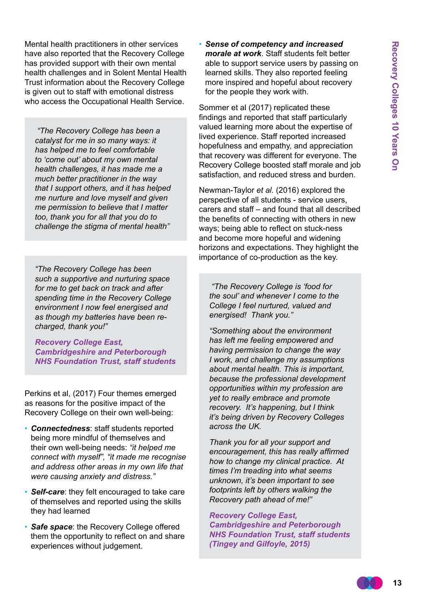Mental health practitioners in other services have also reported that the Recovery College has provided support with their own mental health challenges and in Solent Mental Health Trust information about the Recovery College is given out to staff with emotional distress who access the Occupational Health Service.

*"The Recovery College has been a catalyst for me in so many ways: it has helped me to feel comfortable to 'come out' about my own mental health challenges, it has made me a much better practitioner in the way that I support others, and it has helped me nurture and love myself and given me permission to believe that I matter too, thank you for all that you do to challenge the stigma of mental health"*

*"The Recovery College has been such a supportive and nurturing space for me to get back on track and after spending time in the Recovery College environment I now feel energised and as though my batteries have been recharged, thank you!"*

*Recovery College East, Cambridgeshire and Peterborough NHS Foundation Trust, staff students*

Perkins et al, (2017) Four themes emerged as reasons for the positive impact of the Recovery College on their own well-being:

- *Connectedness*: staff students reported being more mindful of themselves and their own well-being needs: *"it helped me connect with myself", "it made me recognise and address other areas in my own life that were causing anxiety and distress."*
- *Self-care*: they felt encouraged to take care of themselves and reported using the skills they had learned
- *Safe space*: the Recovery College offered them the opportunity to reflect on and share experiences without judgement.

• *Sense of competency and increased morale at work*. Staff students felt better able to support service users by passing on learned skills. They also reported feeling more inspired and hopeful about recovery for the people they work with.

Sommer et al (2017) replicated these findings and reported that staff particularly valued learning more about the expertise of lived experience. Staff reported increased hopefulness and empathy, and appreciation that recovery was different for everyone. The Recovery College boosted staff morale and job satisfaction, and reduced stress and burden.

Newman-Taylor *et al.* (2016) explored the perspective of all students - service users, carers and staff – and found that all described the benefits of connecting with others in new ways; being able to reflect on stuck-ness and become more hopeful and widening horizons and expectations. They highlight the importance of co-production as the key.

 *"The Recovery College is 'food for the soul' and whenever I come to the College I feel nurtured, valued and energised! Thank you."* 

*"Something about the environment has left me feeling empowered and having permission to change the way I work, and challenge my assumptions about mental health. This is important, because the professional development opportunities within my profession are yet to really embrace and promote recovery. It's happening, but I think it's being driven by Recovery Colleges across the UK.*

*Thank you for all your support and encouragement, this has really affirmed how to change my clinical practice. At times I'm treading into what seems unknown, it's been important to see footprints left by others walking the Recovery path ahead of me!"* 

*Recovery College East, Cambridgeshire and Peterborough NHS Foundation Trust, staff students (Tingey and Gilfoyle, 2015)*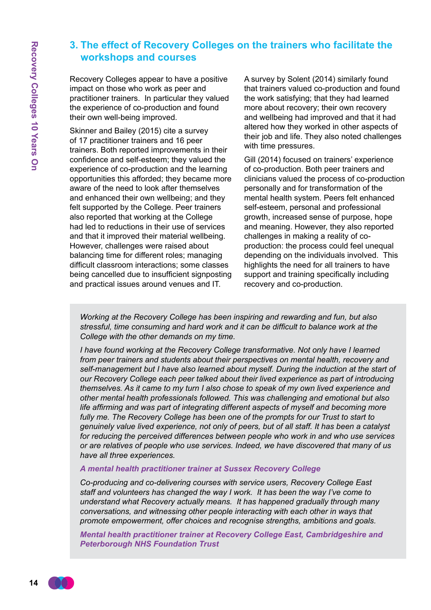## **3. The effect of Recovery Colleges on the trainers who facilitate the workshops and courses**

Recovery Colleges appear to have a positive impact on those who work as peer and practitioner trainers. In particular they valued the experience of co-production and found their own well-being improved.

Skinner and Bailey (2015) cite a survey of 17 practitioner trainers and 16 peer trainers. Both reported improvements in their confidence and self-esteem; they valued the experience of co-production and the learning opportunities this afforded; they became more aware of the need to look after themselves and enhanced their own wellbeing; and they felt supported by the College. Peer trainers also reported that working at the College had led to reductions in their use of services and that it improved their material wellbeing. However, challenges were raised about balancing time for different roles; managing difficult classroom interactions; some classes being cancelled due to insufficient signposting and practical issues around venues and IT.

A survey by Solent (2014) similarly found that trainers valued co-production and found the work satisfying; that they had learned more about recovery; their own recovery and wellbeing had improved and that it had altered how they worked in other aspects of their job and life. They also noted challenges with time pressures.

Gill (2014) focused on trainers' experience of co-production. Both peer trainers and clinicians valued the process of co-production personally and for transformation of the mental health system. Peers felt enhanced self-esteem, personal and professional growth, increased sense of purpose, hope and meaning. However, they also reported challenges in making a reality of coproduction: the process could feel unequal depending on the individuals involved. This highlights the need for all trainers to have support and training specifically including recovery and co-production.

*Working at the Recovery College has been inspiring and rewarding and fun, but also stressful, time consuming and hard work and it can be difficult to balance work at the College with the other demands on my time.* 

*I have found working at the Recovery College transformative. Not only have I learned from peer trainers and students about their perspectives on mental health, recovery and self-management but I have also learned about myself. During the induction at the start of our Recovery College each peer talked about their lived experience as part of introducing themselves. As it came to my turn I also chose to speak of my own lived experience and other mental health professionals followed. This was challenging and emotional but also life affirming and was part of integrating different aspects of myself and becoming more*  fully me. The Recovery College has been one of the prompts for our Trust to start to *genuinely value lived experience, not only of peers, but of all staff. It has been a catalyst for reducing the perceived differences between people who work in and who use services or are relatives of people who use services. Indeed, we have discovered that many of us have all three experiences.* 

#### *A mental health practitioner trainer at Sussex Recovery College*

*Co-producing and co-delivering courses with service users, Recovery College East staff and volunteers has changed the way I work. It has been the way I've come to understand what Recovery actually means. It has happened gradually through many conversations, and witnessing other people interacting with each other in ways that promote empowerment, offer choices and recognise strengths, ambitions and goals.*

*Mental health practitioner trainer at Recovery College East, Cambridgeshire and Peterborough NHS Foundation Trust*

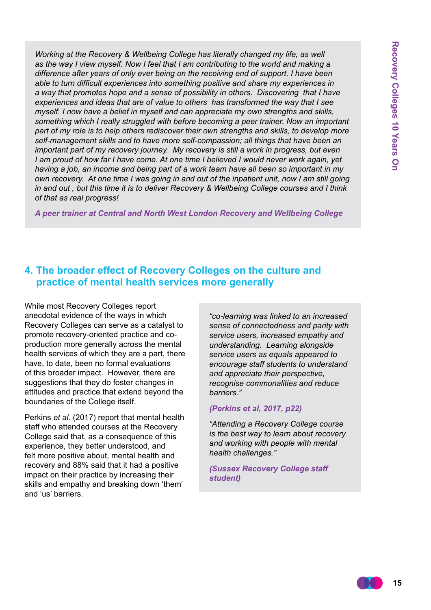*Working at the Recovery & Wellbeing College has literally changed my life, as well as the way I view myself. Now I feel that I am contributing to the world and making a difference after years of only ever being on the receiving end of support. I have been able to turn difficult experiences into something positive and share my experiences in a way that promotes hope and a sense of possibility in others. Discovering that I have experiences and ideas that are of value to others has transformed the way that I see myself. I now have a belief in myself and can appreciate my own strengths and skills, something which I really struggled with before becoming a peer trainer. Now an important part of my role is to help others rediscover their own strengths and skills, to develop more self-management skills and to have more self-compassion; all things that have been an important part of my recovery journey. My recovery is still a work in progress, but even I am proud of how far I have come. At one time I believed I would never work again, yet having a job, an income and being part of a work team have all been so important in my own recovery. At one time I was going in and out of the inpatient unit, now I am still going in and out , but this time it is to deliver Recovery & Wellbeing College courses and I think of that as real progress!*

*A peer trainer at Central and North West London Recovery and Wellbeing College*

#### **4. The broader effect of Recovery Colleges on the culture and practice of mental health services more generally**

While most Recovery Colleges report anecdotal evidence of the ways in which Recovery Colleges can serve as a catalyst to promote recovery-oriented practice and coproduction more generally across the mental health services of which they are a part, there have, to date, been no formal evaluations of this broader impact. However, there are suggestions that they do foster changes in attitudes and practice that extend beyond the boundaries of the College itself.

Perkins *et al.* (2017) report that mental health staff who attended courses at the Recovery College said that, as a consequence of this experience, they better understood, and felt more positive about, mental health and recovery and 88% said that it had a positive impact on their practice by increasing their skills and empathy and breaking down 'them' and 'us' barriers.

*"co-learning was linked to an increased sense of connectedness and parity with service users, increased empathy and understanding. Learning alongside service users as equals appeared to encourage staff students to understand and appreciate their perspective, recognise commonalities and reduce barriers."*

#### *(Perkins et al, 2017, p22)*

*"Attending a Recovery College course is the best way to learn about recovery and working with people with mental health challenges."*

*(Sussex Recovery College staff student)*

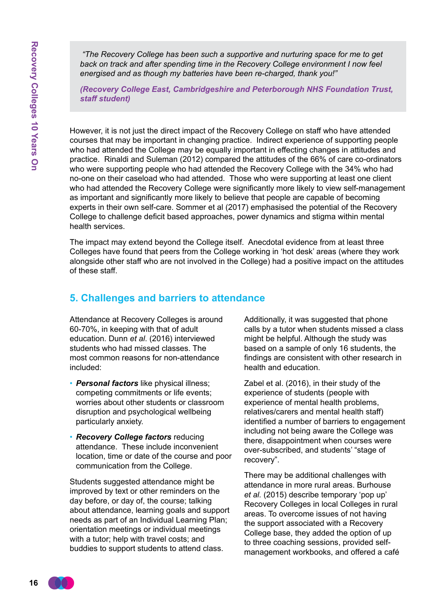*"The Recovery College has been such a supportive and nurturing space for me to get back on track and after spending time in the Recovery College environment I now feel energised and as though my batteries have been re-charged, thank you!"*

*(Recovery College East, Cambridgeshire and Peterborough NHS Foundation Trust, staff student)*

However, it is not just the direct impact of the Recovery College on staff who have attended courses that may be important in changing practice. Indirect experience of supporting people who had attended the College may be equally important in effecting changes in attitudes and practice. Rinaldi and Suleman (2012) compared the attitudes of the 66% of care co-ordinators who were supporting people who had attended the Recovery College with the 34% who had no-one on their caseload who had attended. Those who were supporting at least one client who had attended the Recovery College were significantly more likely to view self-management as important and significantly more likely to believe that people are capable of becoming experts in their own self-care. Sommer et al (2017) emphasised the potential of the Recovery College to challenge deficit based approaches, power dynamics and stigma within mental health services.

The impact may extend beyond the College itself. Anecdotal evidence from at least three Colleges have found that peers from the College working in 'hot desk' areas (where they work alongside other staff who are not involved in the College) had a positive impact on the attitudes of these staff.

#### **5. Challenges and barriers to attendance**

Attendance at Recovery Colleges is around 60-70%, in keeping with that of adult education. Dunn *et al*. (2016) interviewed students who had missed classes. The most common reasons for non-attendance included:

- *Personal factors* like physical illness; competing commitments or life events; worries about other students or classroom disruption and psychological wellbeing particularly anxiety.
- *Recovery College factors* reducing attendance. These include inconvenient location, time or date of the course and poor communication from the College.

Students suggested attendance might be improved by text or other reminders on the day before, or day of, the course; talking about attendance, learning goals and support needs as part of an Individual Learning Plan; orientation meetings or individual meetings with a tutor; help with travel costs; and buddies to support students to attend class.

Additionally, it was suggested that phone calls by a tutor when students missed a class might be helpful. Although the study was based on a sample of only 16 students, the findings are consistent with other research in health and education.

Zabel et al. (2016), in their study of the experience of students (people with experience of mental health problems, relatives/carers and mental health staff) identified a number of barriers to engagement including not being aware the College was there, disappointment when courses were over-subscribed, and students' "stage of recovery".

There may be additional challenges with attendance in more rural areas. Burhouse *et al.* (2015) describe temporary 'pop up' Recovery Colleges in local Colleges in rural areas. To overcome issues of not having the support associated with a Recovery College base, they added the option of up to three coaching sessions, provided selfmanagement workbooks, and offered a café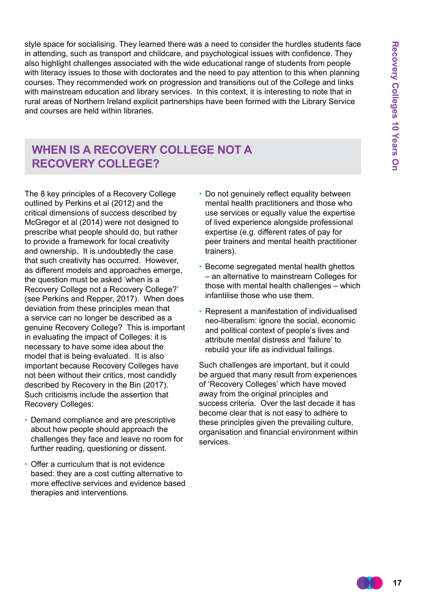style space for socialising. They learned there was a need to consider the hurdles students face in attending, such as transport and childcare, and psychological issues with confidence. They also highlight challenges associated with the wide educational range of students from people with literacy issues to those with doctorates and the need to pay attention to this when planning courses. They recommended work on progression and transitions out of the College and links with mainstream education and library services. In this context, it is interesting to note that in rural areas of Northern Ireland explicit partnerships have been formed with the Library Service and courses are held within libraries.

## **When is a Recovery College not a Recovery College?**

The 8 key principles of a Recovery College outlined by Perkins et al (2012) and the critical dimensions of success described by McGregor et al (2014) were not designed to prescribe what people should do, but rather to provide a framework for local creativity and ownership. It is undoubtedly the case that such creativity has occurred. However, as different models and approaches emerge, the question must be asked 'when is a Recovery College not a Recovery College?' (see Perkins and Repper, 2017). When does deviation from these principles mean that a service can no longer be described as a genuine Recovery College? This is important in evaluating the impact of Colleges: it is necessary to have some idea about the model that is being evaluated. It is also important because Recovery Colleges have not been without their critics, most candidly described by Recovery in the Bin (2017). Such criticisms include the assertion that Recovery Colleges:

- Demand compliance and are prescriptive about how people should approach the challenges they face and leave no room for further reading, questioning or dissent.
- Offer a curriculum that is not evidence based: they are a cost cutting alternative to more effective services and evidence based therapies and interventions.
- Do not genuinely reflect equality between mental health practitioners and those who use services or equally value the expertise of lived experience alongside professional expertise (e.g. different rates of pay for peer trainers and mental health practitioner trainers).
- Become segregated mental health ghettos – an alternative to mainstream Colleges for those with mental health challenges – which infantilise those who use them.
- Represent a manifestation of individualised neo-liberalism: ignore the social, economic and political context of people's lives and attribute mental distress and 'failure' to rebuild your life as individual failings.

Such challenges are important, but it could be argued that many result from experiences of 'Recovery Colleges' which have moved away from the original principles and success criteria. Over the last decade it has become clear that is not easy to adhere to these principles given the prevailing culture, organisation and financial environment within services.

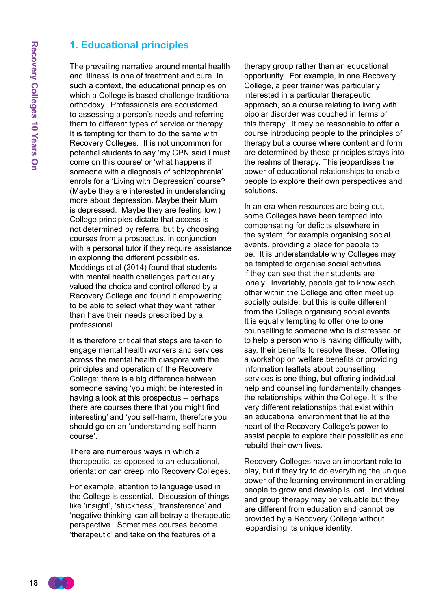#### **1. Educational principles**

The prevailing narrative around mental health and 'illness' is one of treatment and cure. In such a context, the educational principles on which a College is based challenge traditional orthodoxy. Professionals are accustomed to assessing a person's needs and referring them to different types of service or therapy. It is tempting for them to do the same with Recovery Colleges. It is not uncommon for potential students to say 'my CPN said I must come on this course' or 'what happens if someone with a diagnosis of schizophrenia' enrols for a 'Living with Depression' course? (Maybe they are interested in understanding more about depression. Maybe their Mum is depressed. Maybe they are feeling low.) College principles dictate that access is not determined by referral but by choosing courses from a prospectus, in conjunction with a personal tutor if they require assistance in exploring the different possibilities. Meddings et al (2014) found that students with mental health challenges particularly valued the choice and control offered by a Recovery College and found it empowering to be able to select what they want rather than have their needs prescribed by a professional.

It is therefore critical that steps are taken to engage mental health workers and services across the mental health diaspora with the principles and operation of the Recovery College: there is a big difference between someone saying 'you might be interested in having a look at this prospectus – perhaps there are courses there that you might find interesting' and 'you self-harm, therefore you should go on an 'understanding self-harm course'.

There are numerous ways in which a therapeutic, as opposed to an educational, orientation can creep into Recovery Colleges.

For example, attention to language used in the College is essential. Discussion of things like 'insight', 'stuckness', 'transference' and 'negative thinking' can all betray a therapeutic perspective. Sometimes courses become 'therapeutic' and take on the features of a

therapy group rather than an educational opportunity. For example, in one Recovery College, a peer trainer was particularly interested in a particular therapeutic approach, so a course relating to living with bipolar disorder was couched in terms of this therapy. It may be reasonable to offer a course introducing people to the principles of therapy but a course where content and form are determined by these principles strays into the realms of therapy. This jeopardises the power of educational relationships to enable people to explore their own perspectives and solutions.

In an era when resources are being cut, some Colleges have been tempted into compensating for deficits elsewhere in the system, for example organising social events, providing a place for people to be. It is understandable why Colleges may be tempted to organise social activities if they can see that their students are lonely. Invariably, people get to know each other within the College and often meet up socially outside, but this is quite different from the College organising social events. It is equally tempting to offer one to one counselling to someone who is distressed or to help a person who is having difficulty with, say, their benefits to resolve these. Offering a workshop on welfare benefits or providing information leaflets about counselling services is one thing, but offering individual help and counselling fundamentally changes the relationships within the College. It is the very different relationships that exist within an educational environment that lie at the heart of the Recovery College's power to assist people to explore their possibilities and rebuild their own lives.

Recovery Colleges have an important role to play, but if they try to do everything the unique power of the learning environment in enabling people to grow and develop is lost. Individual and group therapy may be valuable but they are different from education and cannot be provided by a Recovery College without jeopardising its unique identity.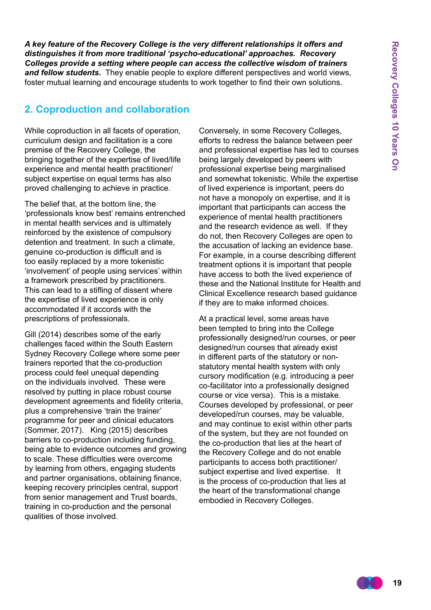*A key feature of the Recovery College is the very different relationships it offers and distinguishes it from more traditional 'psycho-educational' approaches. Recovery Colleges provide a setting where people can access the collective wisdom of trainers and fellow students.* They enable people to explore different perspectives and world views, foster mutual learning and encourage students to work together to find their own solutions.

## **2. Coproduction and collaboration**

While coproduction in all facets of operation, curriculum design and facilitation is a core premise of the Recovery College, the bringing together of the expertise of lived/life experience and mental health practitioner/ subject expertise on equal terms has also proved challenging to achieve in practice.

The belief that, at the bottom line, the 'professionals know best' remains entrenched in mental health services and is ultimately reinforced by the existence of compulsory detention and treatment. In such a climate, genuine co-production is difficult and is too easily replaced by a more tokenistic 'involvement' of people using services' within a framework prescribed by practitioners. This can lead to a stifling of dissent where the expertise of lived experience is only accommodated if it accords with the prescriptions of professionals.

Gill (2014) describes some of the early challenges faced within the South Eastern Sydney Recovery College where some peer trainers reported that the co-production process could feel unequal depending on the individuals involved. These were resolved by putting in place robust course development agreements and fidelity criteria, plus a comprehensive 'train the trainer' programme for peer and clinical educators (Sommer, 2017). King (2015) describes barriers to co-production including funding, being able to evidence outcomes and growing to scale. These difficulties were overcome by learning from others, engaging students and partner organisations, obtaining finance, keeping recovery principles central, support from senior management and Trust boards, training in co-production and the personal qualities of those involved.

Conversely, in some Recovery Colleges, efforts to redress the balance between peer and professional expertise has led to courses being largely developed by peers with professional expertise being marginalised and somewhat tokenistic. While the expertise of lived experience is important, peers do not have a monopoly on expertise, and it is important that participants can access the experience of mental health practitioners and the research evidence as well. If they do not, then Recovery Colleges are open to the accusation of lacking an evidence base. For example, in a course describing different treatment options it is important that people have access to both the lived experience of these and the National Institute for Health and Clinical Excellence research based guidance if they are to make informed choices.

At a practical level, some areas have been tempted to bring into the College professionally designed/run courses, or peer designed/run courses that already exist in different parts of the statutory or nonstatutory mental health system with only cursory modification (e.g. introducing a peer co-facilitator into a professionally designed course or vice versa). This is a mistake. Courses developed by professional, or peer developed/run courses, may be valuable, and may continue to exist within other parts of the system, but they are not founded on the co-production that lies at the heart of the Recovery College and do not enable participants to access both practitioner/ subject expertise and lived expertise. It is the process of co-production that lies at the heart of the transformational change embodied in Recovery Colleges.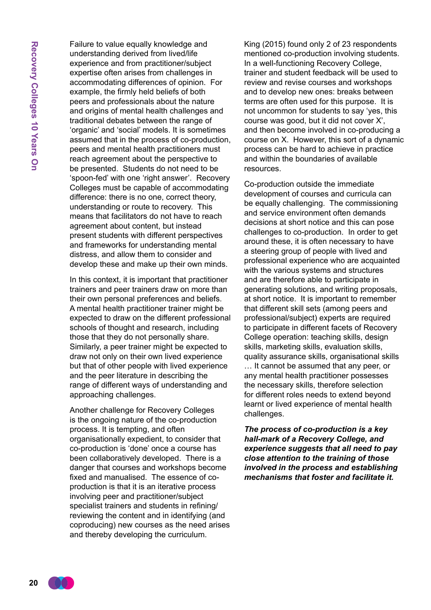Failure to value equally knowledge and understanding derived from lived/life experience and from practitioner/subject expertise often arises from challenges in accommodating differences of opinion. For example, the firmly held beliefs of both peers and professionals about the nature and origins of mental health challenges and traditional debates between the range of 'organic' and 'social' models. It is sometimes assumed that in the process of co-production, peers and mental health practitioners must reach agreement about the perspective to be presented. Students do not need to be 'spoon-fed' with one 'right answer'. Recovery Colleges must be capable of accommodating difference: there is no one, correct theory, understanding or route to recovery. This means that facilitators do not have to reach agreement about content, but instead present students with different perspectives and frameworks for understanding mental distress, and allow them to consider and develop these and make up their own minds.

In this context, it is important that practitioner trainers and peer trainers draw on more than their own personal preferences and beliefs. A mental health practitioner trainer might be expected to draw on the different professional schools of thought and research, including those that they do not personally share. Similarly, a peer trainer might be expected to draw not only on their own lived experience but that of other people with lived experience and the peer literature in describing the range of different ways of understanding and approaching challenges.

Another challenge for Recovery Colleges is the ongoing nature of the co-production process. It is tempting, and often organisationally expedient, to consider that co-production is 'done' once a course has been collaboratively developed. There is a danger that courses and workshops become fixed and manualised. The essence of coproduction is that it is an iterative process involving peer and practitioner/subject specialist trainers and students in refining/ reviewing the content and in identifying (and coproducing) new courses as the need arises and thereby developing the curriculum.

King (2015) found only 2 of 23 respondents mentioned co-production involving students. In a well-functioning Recovery College, trainer and student feedback will be used to review and revise courses and workshops and to develop new ones: breaks between terms are often used for this purpose. It is not uncommon for students to say 'yes, this course was good, but it did not cover X', and then become involved in co-producing a course on X. However, this sort of a dynamic process can be hard to achieve in practice and within the boundaries of available resources.

Co-production outside the immediate development of courses and curricula can be equally challenging. The commissioning and service environment often demands decisions at short notice and this can pose challenges to co-production. In order to get around these, it is often necessary to have a steering group of people with lived and professional experience who are acquainted with the various systems and structures and are therefore able to participate in generating solutions, and writing proposals, at short notice. It is important to remember that different skill sets (among peers and professional/subject) experts are required to participate in different facets of Recovery College operation: teaching skills, design skills, marketing skills, evaluation skills, quality assurance skills, organisational skills … It cannot be assumed that any peer, or any mental health practitioner possesses the necessary skills, therefore selection for different roles needs to extend beyond learnt or lived experience of mental health challenges.

*The process of co-production is a key hall-mark of a Recovery College, and experience suggests that all need to pay close attention to the training of those involved in the process and establishing mechanisms that foster and facilitate it.*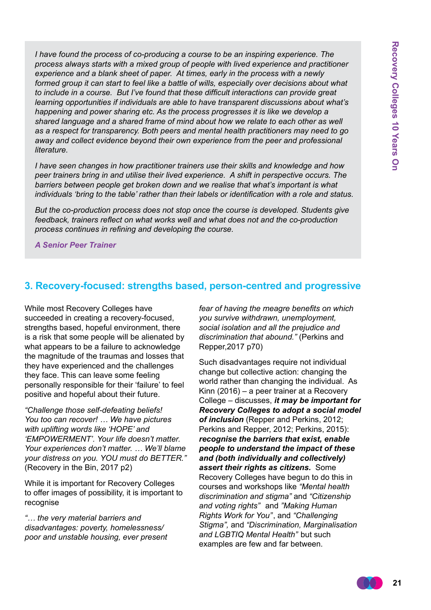*I have found the process of co-producing a course to be an inspiring experience. The process always starts with a mixed group of people with lived experience and practitioner experience and a blank sheet of paper. At times, early in the process with a newly formed group it can start to feel like a battle of wills, especially over decisions about what to include in a course. But I've found that these difficult interactions can provide great learning opportunities if individuals are able to have transparent discussions about what's happening and power sharing etc. As the process progresses it is like we develop a shared language and a shared frame of mind about how we relate to each other as well as a respect for transparency. Both peers and mental health practitioners may need to go away and collect evidence beyond their own experience from the peer and professional literature.* 

*I have seen changes in how practitioner trainers use their skills and knowledge and how peer trainers bring in and utilise their lived experience. A shift in perspective occurs. The barriers between people get broken down and we realise that what's important is what individuals 'bring to the table' rather than their labels or identification with a role and status.*

*But the co-production process does not stop once the course is developed. Students give feedback, trainers reflect on what works well and what does not and the co-production process continues in refining and developing the course.*

*A Senior Peer Trainer* 

#### **3. Recovery-focused: strengths based, person-centred and progressive**

While most Recovery Colleges have succeeded in creating a recovery-focused, strengths based, hopeful environment, there is a risk that some people will be alienated by what appears to be a failure to acknowledge the magnitude of the traumas and losses that they have experienced and the challenges they face. This can leave some feeling personally responsible for their 'failure' to feel positive and hopeful about their future.

*"Challenge those self-defeating beliefs! You too can recover! … We have pictures with uplifting words like 'HOPE' and 'EMPOWERMENT'. Your life doesn't matter. Your experiences don't matter. … We'll blame your distress on you. YOU must do BETTER."*  (Recovery in the Bin, 2017 p2)

While it is important for Recovery Colleges to offer images of possibility, it is important to recognise

*"… the very material barriers and disadvantages: poverty, homelessness/ poor and unstable housing, ever present*  *fear of having the meagre benefits on which you survive withdrawn, unemployment, social isolation and all the prejudice and discrimination that abound."* (Perkins and Repper,2017 p70)

Such disadvantages require not individual change but collective action: changing the world rather than changing the individual. As Kinn (2016) – a peer trainer at a Recovery College – discusses, *it may be important for Recovery Colleges to adopt a social model of inclusion* (Repper and Perkins, 2012; Perkins and Repper, 2012; Perkins, 2015): *recognise the barriers that exist, enable people to understand the impact of these and (both individually and collectively) assert their rights as citizens.* Some Recovery Colleges have begun to do this in courses and workshops like *"Mental health discrimination and stigma"* and *"Citizenship and voting rights"* and *"Making Human Rights Work for You"*, and *"Challenging Stigma",* and *"Discrimination, Marginalisation and LGBTIQ Mental Health"* but such examples are few and far between.

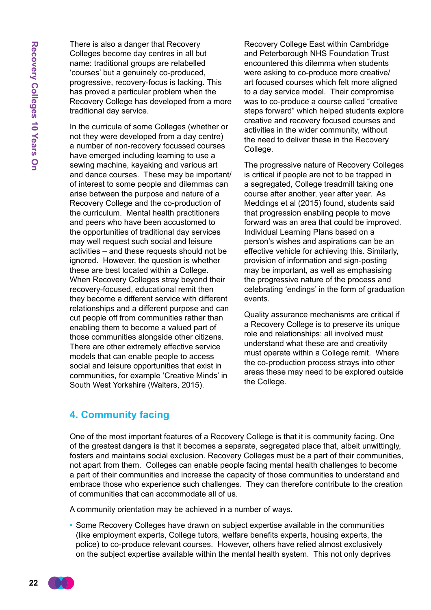There is also a danger that Recovery Colleges become day centres in all but name: traditional groups are relabelled 'courses' but a genuinely co-produced, progressive, recovery-focus is lacking. This has proved a particular problem when the Recovery College has developed from a more traditional day service.

In the curricula of some Colleges (whether or not they were developed from a day centre) a number of non-recovery focussed courses have emerged including learning to use a sewing machine, kayaking and various art and dance courses. These may be important/ of interest to some people and dilemmas can arise between the purpose and nature of a Recovery College and the co-production of the curriculum. Mental health practitioners and peers who have been accustomed to the opportunities of traditional day services may well request such social and leisure activities – and these requests should not be ignored. However, the question is whether these are best located within a College. When Recovery Colleges stray beyond their recovery-focused, educational remit then they become a different service with different relationships and a different purpose and can cut people off from communities rather than enabling them to become a valued part of those communities alongside other citizens. There are other extremely effective service models that can enable people to access social and leisure opportunities that exist in communities, for example 'Creative Minds' in South West Yorkshire (Walters, 2015).

Recovery College East within Cambridge and Peterborough NHS Foundation Trust encountered this dilemma when students were asking to co-produce more creative/ art focused courses which felt more aligned to a day service model. Their compromise was to co-produce a course called "creative steps forward" which helped students explore creative and recovery focused courses and activities in the wider community, without the need to deliver these in the Recovery College.

The progressive nature of Recovery Colleges is critical if people are not to be trapped in a segregated, College treadmill taking one course after another, year after year. As Meddings et al (2015) found, students said that progression enabling people to move forward was an area that could be improved. Individual Learning Plans based on a person's wishes and aspirations can be an effective vehicle for achieving this. Similarly, provision of information and sign-posting may be important, as well as emphasising the progressive nature of the process and celebrating 'endings' in the form of graduation events.

Quality assurance mechanisms are critical if a Recovery College is to preserve its unique role and relationships: all involved must understand what these are and creativity must operate within a College remit. Where the co-production process strays into other areas these may need to be explored outside the College.

#### **4. Community facing**

One of the most important features of a Recovery College is that it is community facing. One of the greatest dangers is that it becomes a separate, segregated place that, albeit unwittingly, fosters and maintains social exclusion. Recovery Colleges must be a part of their communities, not apart from them. Colleges can enable people facing mental health challenges to become a part of their communities and increase the capacity of those communities to understand and embrace those who experience such challenges. They can therefore contribute to the creation of communities that can accommodate all of us.

A community orientation may be achieved in a number of ways.

• Some Recovery Colleges have drawn on subject expertise available in the communities (like employment experts, College tutors, welfare benefits experts, housing experts, the police) to co-produce relevant courses. However, others have relied almost exclusively on the subject expertise available within the mental health system. This not only deprives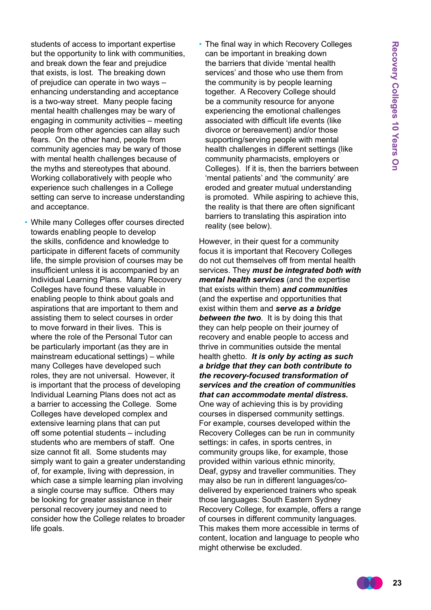students of access to important expertise but the opportunity to link with communities, and break down the fear and prejudice that exists, is lost. The breaking down of prejudice can operate in two ways – enhancing understanding and acceptance is a two-way street. Many people facing mental health challenges may be wary of engaging in community activities – meeting people from other agencies can allay such fears. On the other hand, people from community agencies may be wary of those with mental health challenges because of the myths and stereotypes that abound. Working collaboratively with people who experience such challenges in a College setting can serve to increase understanding and acceptance.

- While many Colleges offer courses directed towards enabling people to develop the skills, confidence and knowledge to participate in different facets of community life, the simple provision of courses may be insufficient unless it is accompanied by an Individual Learning Plans. Many Recovery Colleges have found these valuable in enabling people to think about goals and aspirations that are important to them and assisting them to select courses in order to move forward in their lives. This is where the role of the Personal Tutor can be particularly important (as they are in mainstream educational settings) – while many Colleges have developed such roles, they are not universal. However, it is important that the process of developing Individual Learning Plans does not act as a barrier to accessing the College. Some Colleges have developed complex and extensive learning plans that can put off some potential students – including students who are members of staff. One size cannot fit all. Some students may simply want to gain a greater understanding of, for example, living with depression, in which case a simple learning plan involving a single course may suffice. Others may be looking for greater assistance in their personal recovery journey and need to consider how the College relates to broader life goals.
- The final way in which Recovery Colleges can be important in breaking down the barriers that divide 'mental health services' and those who use them from the community is by people learning together. A Recovery College should be a community resource for anyone experiencing the emotional challenges associated with difficult life events (like divorce or bereavement) and/or those supporting/serving people with mental health challenges in different settings (like community pharmacists, employers or Colleges). If it is, then the barriers between 'mental patients' and 'the community' are eroded and greater mutual understanding is promoted. While aspiring to achieve this, the reality is that there are often significant barriers to translating this aspiration into reality (see below).

However, in their quest for a community focus it is important that Recovery Colleges do not cut themselves off from mental health services. They *must be integrated both with mental health services* (and the expertise that exists within them) *and communities* (and the expertise and opportunities that exist within them and *serve as a bridge between the two*. It is by doing this that they can help people on their journey of recovery and enable people to access and thrive in communities outside the mental health ghetto. *It is only by acting as such a bridge that they can both contribute to the recovery-focused transformation of services and the creation of communities that can accommodate mental distress.* One way of achieving this is by providing courses in dispersed community settings. For example, courses developed within the Recovery Colleges can be run in community settings: in cafes, in sports centres, in community groups like, for example, those provided within various ethnic minority, Deaf, gypsy and traveller communities. They may also be run in different languages/codelivered by experienced trainers who speak those languages: South Eastern Sydney Recovery College, for example, offers a range of courses in different community languages. This makes them more accessible in terms of content, location and language to people who might otherwise be excluded.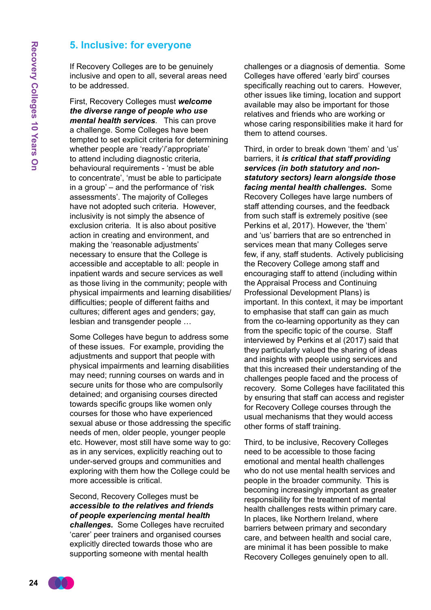#### **5. Inclusive: for everyone**

If Recovery Colleges are to be genuinely inclusive and open to all, several areas need to be addressed.

First, Recovery Colleges must *welcome the diverse range of people who use mental health services*. This can prove a challenge. Some Colleges have been tempted to set explicit criteria for determining whether people are 'ready'/'appropriate' to attend including diagnostic criteria, behavioural requirements - 'must be able to concentrate', 'must be able to participate in a group' – and the performance of 'risk assessments'. The majority of Colleges have not adopted such criteria. However, inclusivity is not simply the absence of exclusion criteria. It is also about positive action in creating and environment, and making the 'reasonable adjustments' necessary to ensure that the College is accessible and acceptable to all: people in inpatient wards and secure services as well as those living in the community; people with physical impairments and learning disabilities/ difficulties; people of different faiths and cultures; different ages and genders; gay, lesbian and transgender people …

Some Colleges have begun to address some of these issues. For example, providing the adjustments and support that people with physical impairments and learning disabilities may need; running courses on wards and in secure units for those who are compulsorily detained; and organising courses directed towards specific groups like women only courses for those who have experienced sexual abuse or those addressing the specific needs of men, older people, younger people etc. However, most still have some way to go: as in any services, explicitly reaching out to under-served groups and communities and exploring with them how the College could be more accessible is critical.

Second, Recovery Colleges must be *accessible to the relatives and friends of people experiencing mental health challenges.* Some Colleges have recruited 'carer' peer trainers and organised courses explicitly directed towards those who are supporting someone with mental health

challenges or a diagnosis of dementia. Some Colleges have offered 'early bird' courses specifically reaching out to carers. However, other issues like timing, location and support available may also be important for those relatives and friends who are working or whose caring responsibilities make it hard for them to attend courses.

Third, in order to break down 'them' and 'us' barriers, it *is critical that staff providing services (in both statutory and nonstatutory sectors) learn alongside those facing mental health challenges.* Some Recovery Colleges have large numbers of staff attending courses, and the feedback from such staff is extremely positive (see Perkins et al, 2017). However, the 'them' and 'us' barriers that are so entrenched in services mean that many Colleges serve few, if any, staff students. Actively publicising the Recovery College among staff and encouraging staff to attend (including within the Appraisal Process and Continuing Professional Development Plans) is important. In this context, it may be important to emphasise that staff can gain as much from the co-learning opportunity as they can from the specific topic of the course. Staff interviewed by Perkins et al (2017) said that they particularly valued the sharing of ideas and insights with people using services and that this increased their understanding of the challenges people faced and the process of recovery. Some Colleges have facilitated this by ensuring that staff can access and register for Recovery College courses through the usual mechanisms that they would access other forms of staff training.

Third, to be inclusive, Recovery Colleges need to be accessible to those facing emotional and mental health challenges who do not use mental health services and people in the broader community. This is becoming increasingly important as greater responsibility for the treatment of mental health challenges rests within primary care. In places, like Northern Ireland, where barriers between primary and secondary care, and between health and social care, are minimal it has been possible to make Recovery Colleges genuinely open to all.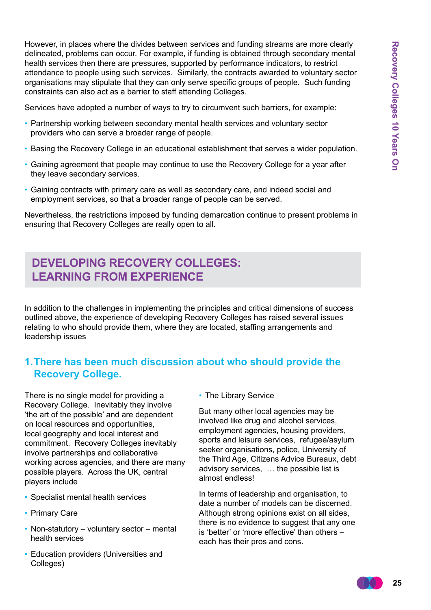However, in places where the divides between services and funding streams are more clearly delineated, problems can occur. For example, if funding is obtained through secondary mental health services then there are pressures, supported by performance indicators, to restrict attendance to people using such services. Similarly, the contracts awarded to voluntary sector organisations may stipulate that they can only serve specific groups of people. Such funding constraints can also act as a barrier to staff attending Colleges.

Services have adopted a number of ways to try to circumvent such barriers, for example:

- Partnership working between secondary mental health services and voluntary sector providers who can serve a broader range of people.
- Basing the Recovery College in an educational establishment that serves a wider population.
- Gaining agreement that people may continue to use the Recovery College for a year after they leave secondary services.
- Gaining contracts with primary care as well as secondary care, and indeed social and employment services, so that a broader range of people can be served.

Nevertheless, the restrictions imposed by funding demarcation continue to present problems in ensuring that Recovery Colleges are really open to all.

## **Developing Recovery Colleges: Learning from Experience**

In addition to the challenges in implementing the principles and critical dimensions of success outlined above, the experience of developing Recovery Colleges has raised several issues relating to who should provide them, where they are located, staffing arrangements and leadership issues

## **1.There has been much discussion about who should provide the Recovery College.**

There is no single model for providing a Recovery College. Inevitably they involve 'the art of the possible' and are dependent on local resources and opportunities, local geography and local interest and commitment. Recovery Colleges inevitably involve partnerships and collaborative working across agencies, and there are many possible players. Across the UK, central players include

- Specialist mental health services
- Primary Care
- Non-statutory voluntary sector mental health services
- Education providers (Universities and Colleges)

• The Library Service

But many other local agencies may be involved like drug and alcohol services, employment agencies, housing providers, sports and leisure services, refugee/asylum seeker organisations, police, University of the Third Age, Citizens Advice Bureaux, debt advisory services, … the possible list is almost endless!

In terms of leadership and organisation, to date a number of models can be discerned. Although strong opinions exist on all sides, there is no evidence to suggest that any one is 'better' or 'more effective' than others – each has their pros and cons.

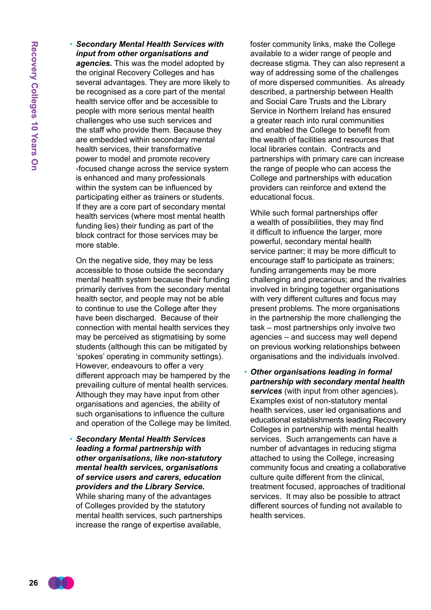• *Secondary Mental Health Services with input from other organisations and agencies.* This was the model adopted by the original Recovery Colleges and has several advantages. They are more likely to be recognised as a core part of the mental health service offer and be accessible to people with more serious mental health challenges who use such services and the staff who provide them. Because they are embedded within secondary mental health services, their transformative power to model and promote recovery -focused change across the service system is enhanced and many professionals within the system can be influenced by participating either as trainers or students. If they are a core part of secondary mental health services (where most mental health funding lies) their funding as part of the block contract for those services may be more stable.

On the negative side, they may be less accessible to those outside the secondary mental health system because their funding primarily derives from the secondary mental health sector, and people may not be able to continue to use the College after they have been discharged. Because of their connection with mental health services they may be perceived as stigmatising by some students (although this can be mitigated by 'spokes' operating in community settings). However, endeavours to offer a very different approach may be hampered by the prevailing culture of mental health services. Although they may have input from other organisations and agencies, the ability of such organisations to influence the culture and operation of the College may be limited.

• *Secondary Mental Health Services leading a formal partnership with other organisations, like non-statutory mental health services, organisations of service users and carers, education providers and the Library Service.* While sharing many of the advantages of Colleges provided by the statutory mental health services, such partnerships increase the range of expertise available,

foster community links, make the College available to a wider range of people and decrease stigma. They can also represent a way of addressing some of the challenges of more dispersed communities. As already described, a partnership between Health and Social Care Trusts and the Library Service in Northern Ireland has ensured a greater reach into rural communities and enabled the College to benefit from the wealth of facilities and resources that local libraries contain. Contracts and partnerships with primary care can increase the range of people who can access the College and partnerships with education providers can reinforce and extend the educational focus.

While such formal partnerships offer a wealth of possibilities, they may find it difficult to influence the larger, more powerful, secondary mental health service partner; it may be more difficult to encourage staff to participate as trainers; funding arrangements may be more challenging and precarious; and the rivalries involved in bringing together organisations with very different cultures and focus may present problems. The more organisations in the partnership the more challenging the task – most partnerships only involve two agencies – and success may well depend on previous working relationships between organisations and the individuals involved.

• *Other organisations leading in formal partnership with secondary mental health services* (with input from other agencies)*.* Examples exist of non-statutory mental health services, user led organisations and educational establishments leading Recovery Colleges in partnership with mental health services. Such arrangements can have a number of advantages in reducing stigma attached to using the College, increasing community focus and creating a collaborative culture quite different from the clinical, treatment focused, approaches of traditional services. It may also be possible to attract different sources of funding not available to health services.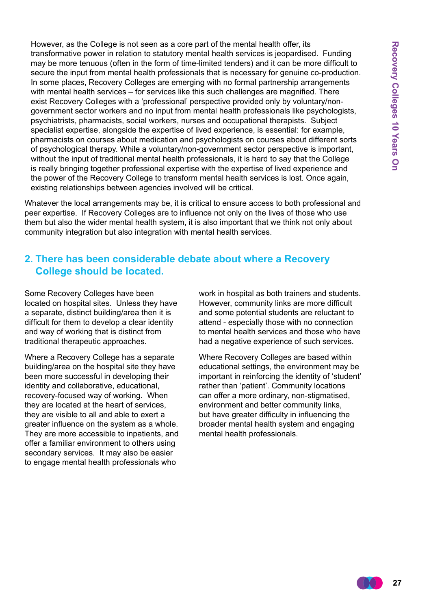However, as the College is not seen as a core part of the mental health offer, its transformative power in relation to statutory mental health services is jeopardised. Funding may be more tenuous (often in the form of time-limited tenders) and it can be more difficult to secure the input from mental health professionals that is necessary for genuine co-production. In some places, Recovery Colleges are emerging with no formal partnership arrangements with mental health services – for services like this such challenges are magnified. There exist Recovery Colleges with a 'professional' perspective provided only by voluntary/nongovernment sector workers and no input from mental health professionals like psychologists, psychiatrists, pharmacists, social workers, nurses and occupational therapists. Subject specialist expertise, alongside the expertise of lived experience, is essential: for example, pharmacists on courses about medication and psychologists on courses about different sorts of psychological therapy. While a voluntary/non-government sector perspective is important, without the input of traditional mental health professionals, it is hard to say that the College is really bringing together professional expertise with the expertise of lived experience and the power of the Recovery College to transform mental health services is lost. Once again, existing relationships between agencies involved will be critical.

Whatever the local arrangements may be, it is critical to ensure access to both professional and peer expertise. If Recovery Colleges are to influence not only on the lives of those who use them but also the wider mental health system, it is also important that we think not only about community integration but also integration with mental health services.

#### **2. There has been considerable debate about where a Recovery College should be located.**

Some Recovery Colleges have been located on hospital sites. Unless they have a separate, distinct building/area then it is difficult for them to develop a clear identity and way of working that is distinct from traditional therapeutic approaches.

Where a Recovery College has a separate building/area on the hospital site they have been more successful in developing their identity and collaborative, educational, recovery-focused way of working. When they are located at the heart of services, they are visible to all and able to exert a greater influence on the system as a whole. They are more accessible to inpatients, and offer a familiar environment to others using secondary services. It may also be easier to engage mental health professionals who

work in hospital as both trainers and students. However, community links are more difficult and some potential students are reluctant to attend - especially those with no connection to mental health services and those who have had a negative experience of such services.

Where Recovery Colleges are based within educational settings, the environment may be important in reinforcing the identity of 'student' rather than 'patient'. Community locations can offer a more ordinary, non-stigmatised, environment and better community links, but have greater difficulty in influencing the broader mental health system and engaging mental health professionals.

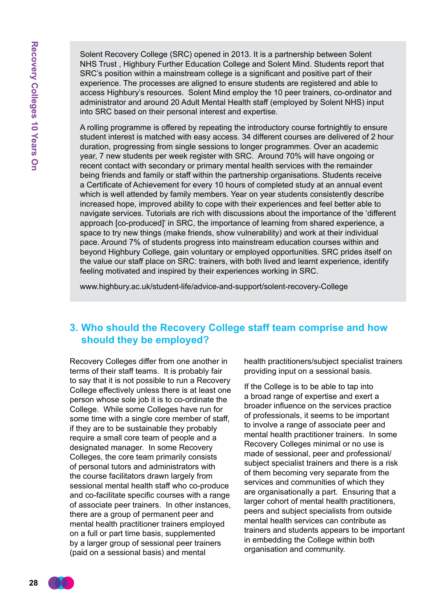Solent Recovery College (SRC) opened in 2013. It is a partnership between Solent NHS Trust , Highbury Further Education College and Solent Mind. Students report that SRC's position within a mainstream college is a significant and positive part of their experience. The processes are aligned to ensure students are registered and able to access Highbury's resources. Solent Mind employ the 10 peer trainers, co-ordinator and administrator and around 20 Adult Mental Health staff (employed by Solent NHS) input into SRC based on their personal interest and expertise.

A rolling programme is offered by repeating the introductory course fortnightly to ensure student interest is matched with easy access. 34 different courses are delivered of 2 hour duration, progressing from single sessions to longer programmes. Over an academic year, 7 new students per week register with SRC. Around 70% will have ongoing or recent contact with secondary or primary mental health services with the remainder being friends and family or staff within the partnership organisations. Students receive a Certificate of Achievement for every 10 hours of completed study at an annual event which is well attended by family members. Year on year students consistently describe increased hope, improved ability to cope with their experiences and feel better able to navigate services. Tutorials are rich with discussions about the importance of the 'different approach [co-produced]' in SRC, the importance of learning from shared experience, a space to try new things (make friends, show vulnerability) and work at their individual pace. Around 7% of students progress into mainstream education courses within and beyond Highbury College, gain voluntary or employed opportunities. SRC prides itself on the value our staff place on SRC: trainers, with both lived and learnt experience, identify feeling motivated and inspired by their experiences working in SRC.

www.highbury.ac.uk/student-life/advice-and-support/solent-recovery-College

#### **3. Who should the Recovery College staff team comprise and how should they be employed?**

Recovery Colleges differ from one another in terms of their staff teams. It is probably fair to say that it is not possible to run a Recovery College effectively unless there is at least one person whose sole job it is to co-ordinate the College. While some Colleges have run for some time with a single core member of staff, if they are to be sustainable they probably require a small core team of people and a designated manager. In some Recovery Colleges, the core team primarily consists of personal tutors and administrators with the course facilitators drawn largely from sessional mental health staff who co-produce and co-facilitate specific courses with a range of associate peer trainers. In other instances, there are a group of permanent peer and mental health practitioner trainers employed on a full or part time basis, supplemented by a larger group of sessional peer trainers (paid on a sessional basis) and mental

health practitioners/subject specialist trainers providing input on a sessional basis.

If the College is to be able to tap into a broad range of expertise and exert a broader influence on the services practice of professionals, it seems to be important to involve a range of associate peer and mental health practitioner trainers. In some Recovery Colleges minimal or no use is made of sessional, peer and professional/ subject specialist trainers and there is a risk of them becoming very separate from the services and communities of which they are organisationally a part. Ensuring that a larger cohort of mental health practitioners, peers and subject specialists from outside mental health services can contribute as trainers and students appears to be important in embedding the College within both organisation and community.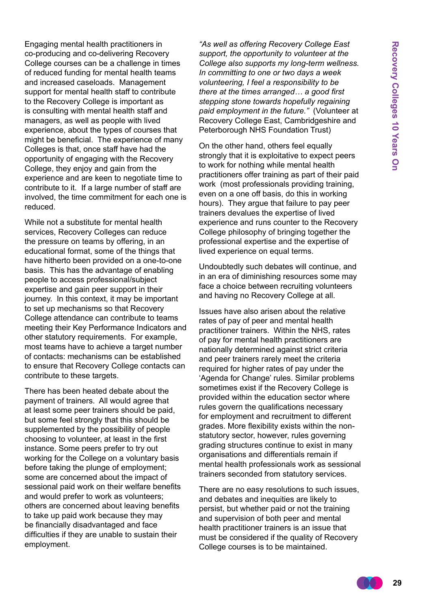Engaging mental health practitioners in co-producing and co-delivering Recovery College courses can be a challenge in times of reduced funding for mental health teams and increased caseloads. Management support for mental health staff to contribute to the Recovery College is important as is consulting with mental health staff and managers, as well as people with lived experience, about the types of courses that might be beneficial. The experience of many Colleges is that, once staff have had the opportunity of engaging with the Recovery College, they enjoy and gain from the experience and are keen to negotiate time to contribute to it. If a large number of staff are involved, the time commitment for each one is reduced.

While not a substitute for mental health services, Recovery Colleges can reduce the pressure on teams by offering, in an educational format, some of the things that have hitherto been provided on a one-to-one basis. This has the advantage of enabling people to access professional/subject expertise and gain peer support in their journey. In this context, it may be important to set up mechanisms so that Recovery College attendance can contribute to teams meeting their Key Performance Indicators and other statutory requirements. For example, most teams have to achieve a target number of contacts: mechanisms can be established to ensure that Recovery College contacts can contribute to these targets.

There has been heated debate about the payment of trainers. All would agree that at least some peer trainers should be paid, but some feel strongly that this should be supplemented by the possibility of people choosing to volunteer, at least in the first instance. Some peers prefer to try out working for the College on a voluntary basis before taking the plunge of employment; some are concerned about the impact of sessional paid work on their welfare benefits and would prefer to work as volunteers; others are concerned about leaving benefits to take up paid work because they may be financially disadvantaged and face difficulties if they are unable to sustain their employment.

*"As well as offering Recovery College East support, the opportunity to volunteer at the College also supports my long-term wellness. In committing to one or two days a week volunteering, I feel a responsibility to be there at the times arranged… a good first stepping stone towards hopefully regaining paid employment in the future."* (Volunteer at Recovery College East, Cambridgeshire and Peterborough NHS Foundation Trust)

On the other hand, others feel equally strongly that it is exploitative to expect peers to work for nothing while mental health practitioners offer training as part of their paid work (most professionals providing training, even on a one off basis, do this in working hours). They argue that failure to pay peer trainers devalues the expertise of lived experience and runs counter to the Recovery College philosophy of bringing together the professional expertise and the expertise of lived experience on equal terms.

Undoubtedly such debates will continue, and in an era of diminishing resources some may face a choice between recruiting volunteers and having no Recovery College at all.

Issues have also arisen about the relative rates of pay of peer and mental health practitioner trainers. Within the NHS, rates of pay for mental health practitioners are nationally determined against strict criteria and peer trainers rarely meet the criteria required for higher rates of pay under the 'Agenda for Change' rules. Similar problems sometimes exist if the Recovery College is provided within the education sector where rules govern the qualifications necessary for employment and recruitment to different grades. More flexibility exists within the nonstatutory sector, however, rules governing grading structures continue to exist in many organisations and differentials remain if mental health professionals work as sessional trainers seconded from statutory services.

There are no easy resolutions to such issues, and debates and inequities are likely to persist, but whether paid or not the training and supervision of both peer and mental health practitioner trainers is an issue that must be considered if the quality of Recovery College courses is to be maintained.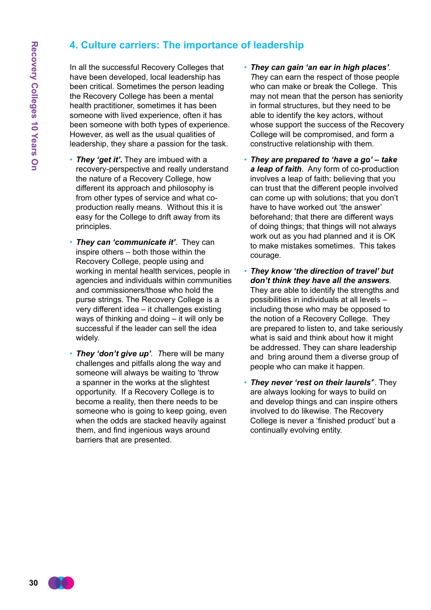## **4. Culture carriers: The importance of leadership**

In all the successful Recovery Colleges that have been developed, local leadership has been critical. Sometimes the person leading the Recovery College has been a mental health practitioner, sometimes it has been someone with lived experience, often it has been someone with both types of experience. However, as well as the usual qualities of leadership, they share a passion for the task.

- *They 'get it'.* They are imbued with a recovery-perspective and really understand the nature of a Recovery College, how different its approach and philosophy is from other types of service and what coproduction really means. Without this it is easy for the College to drift away from its principles.
- *They can 'communicate it'.* They can inspire others – both those within the Recovery College, people using and working in mental health services, people in agencies and individuals within communities and commissioners/those who hold the purse strings. The Recovery College is a very different idea – it challenges existing ways of thinking and doing – it will only be successful if the leader can sell the idea widely.
- *They 'don't give up'. T*here will be many challenges and pitfalls along the way and someone will always be waiting to 'throw a spanner in the works at the slightest opportunity. If a Recovery College is to become a reality, then there needs to be someone who is going to keep going, even when the odds are stacked heavily against them, and find ingenious ways around barriers that are presented.
- *They can gain 'an ear in high places'. T*hey can earn the respect of those people who can make or break the College. This may not mean that the person has seniority in formal structures, but they need to be able to identify the key actors, without whose support the success of the Recovery College will be compromised, and form a constructive relationship with them.
- *They are prepared to 'have a go' take a leap of faith*. Any form of co-production involves a leap of faith: believing that you can trust that the different people involved can come up with solutions; that you don't have to have worked out 'the answer' beforehand; that there are different ways of doing things; that things will not always work out as you had planned and it is OK to make mistakes sometimes. This takes courage.
- *They know 'the direction of travel' but don't think they have all the answers*. They are able to identify the strengths and possibilities in individuals at all levels – including those who may be opposed to the notion of a Recovery College. They are prepared to listen to, and take seriously what is said and think about how it might be addressed. They can share leadership and bring around them a diverse group of people who can make it happen.
- *They never 'rest on their laurels'*'. They are always looking for ways to build on and develop things and can inspire others involved to do likewise. The Recovery College is never a 'finished product' but a continually evolving entity.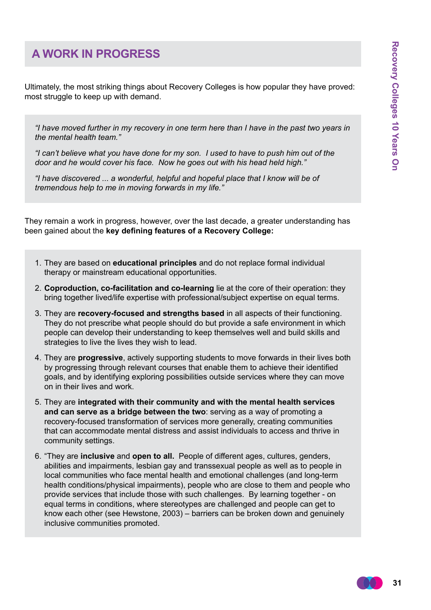## **A Work in Progress**

Ultimately, the most striking things about Recovery Colleges is how popular they have proved: most struggle to keep up with demand.

*"I have moved further in my recovery in one term here than I have in the past two years in the mental health team."*

*"I can't believe what you have done for my son. I used to have to push him out of the door and he would cover his face. Now he goes out with his head held high."*

*"I have discovered ... a wonderful, helpful and hopeful place that I know will be of tremendous help to me in moving forwards in my life."*

They remain a work in progress, however, over the last decade, a greater understanding has been gained about the **key defining features of a Recovery College:**

- 1. They are based on **educational principles** and do not replace formal individual therapy or mainstream educational opportunities.
- 2. **Coproduction, co-facilitation and co-learning** lie at the core of their operation: they bring together lived/life expertise with professional/subject expertise on equal terms.
- 3. They are **recovery-focused and strengths based** in all aspects of their functioning. They do not prescribe what people should do but provide a safe environment in which people can develop their understanding to keep themselves well and build skills and strategies to live the lives they wish to lead.
- 4. They are **progressive**, actively supporting students to move forwards in their lives both by progressing through relevant courses that enable them to achieve their identified goals, and by identifying exploring possibilities outside services where they can move on in their lives and work.
- 5. They are **integrated with their community and with the mental health services and can serve as a bridge between the two**: serving as a way of promoting a recovery-focused transformation of services more generally, creating communities that can accommodate mental distress and assist individuals to access and thrive in community settings.
- 6. "They are **inclusive** and **open to all.** People of different ages, cultures, genders, abilities and impairments, lesbian gay and transsexual people as well as to people in local communities who face mental health and emotional challenges (and long-term health conditions/physical impairments), people who are close to them and people who provide services that include those with such challenges. By learning together - on equal terms in conditions, where stereotypes are challenged and people can get to know each other (see Hewstone, 2003) – barriers can be broken down and genuinely inclusive communities promoted.

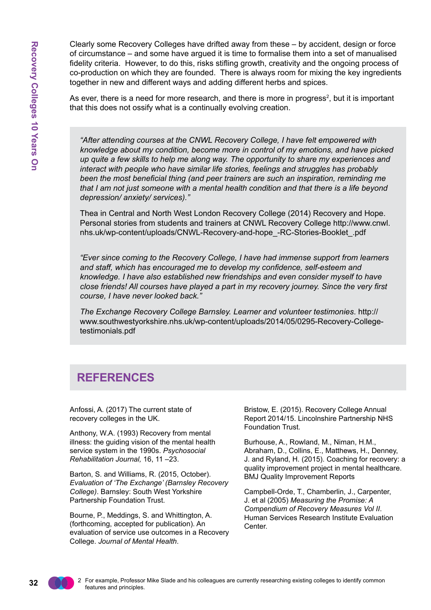Clearly some Recovery Colleges have drifted away from these – by accident, design or force of circumstance – and some have argued it is time to formalise them into a set of manualised fidelity criteria. However, to do this, risks stifling growth, creativity and the ongoing process of co-production on which they are founded. There is always room for mixing the key ingredients together in new and different ways and adding different herbs and spices.

As ever, there is a need for more research, and there is more in progress<sup>2</sup>, but it is important that this does not ossify what is a continually evolving creation.

*"After attending courses at the CNWL Recovery College, I have felt empowered with knowledge about my condition, become more in control of my emotions, and have picked up quite a few skills to help me along way. The opportunity to share my experiences and interact with people who have similar life stories, feelings and struggles has probably been the most beneficial thing (and peer trainers are such an inspiration, reminding me that I am not just someone with a mental health condition and that there is a life beyond depression/ anxiety/ services)."*

Thea in Central and North West London Recovery College (2014) Recovery and Hope. Personal stories from students and trainers at CNWL Recovery College http://www.cnwl. nhs.uk/wp-content/uploads/CNWL-Recovery-and-hope\_-RC-Stories-Booklet\_.pdf

*"Ever since coming to the Recovery College, I have had immense support from learners and staff, which has encouraged me to develop my confidence, self-esteem and knowledge. I have also established new friendships and even consider myself to have close friends! All courses have played a part in my recovery journey. Since the very first course, I have never looked back."*

*The Exchange Recovery College Barnsley. Learner and volunteer testimonies*. http:// www.southwestyorkshire.nhs.uk/wp-content/uploads/2014/05/0295-Recovery-Collegetestimonials.pdf

## **References**

Anfossi, A. (2017) The current state of recovery colleges in the UK.

Anthony, W.A. (1993) Recovery from mental illness: the guiding vision of the mental health service system in the 1990s. *Psychosocial Rehabilitation Journal,* 16, 11 –23.

Barton, S. and Williams, R. (2015, October). *Evaluation of 'The Exchange' (Barnsley Recovery College)*. Barnsley: South West Yorkshire Partnership Foundation Trust.

Bourne, P., Meddings, S. and Whittington, A. (forthcoming, accepted for publication). An evaluation of service use outcomes in a Recovery College. *Journal of Mental Health*.

Bristow, E. (2015). Recovery College Annual Report 2014/15. Lincolnshire Partnership NHS Foundation Trust.

Burhouse, A., Rowland, M., Niman, H.M., Abraham, D., Collins, E., Matthews, H., Denney, J. and Ryland, H. (2015). Coaching for recovery: a quality improvement project in mental healthcare. BMJ Quality Improvement Reports

Campbell-Orde, T., Chamberlin, J., Carpenter, J. et al (2005) *Measuring the Promise: A Compendium of Recovery Measures Vol II*. Human Services Research Institute Evaluation Center.

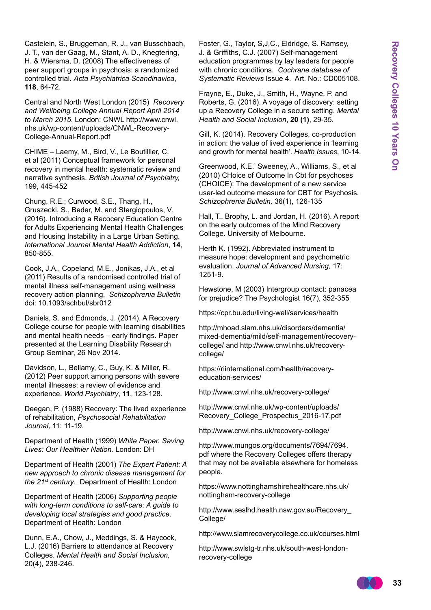Castelein, S., Bruggeman, R. J., van Busschbach, J. T., van der Gaag, M., Stant, A. D., Knegtering, H. & Wiersma, D. (2008) The effectiveness of peer support groups in psychosis: a randomized controlled trial. *Acta Psychiatrica Scandinavica*, **118**, 64-72.

Central and North West London (2015) *Recovery and Wellbeing College Annual Report April 2014 to March 2015*. London: CNWL http://www.cnwl. nhs.uk/wp-content/uploads/CNWL-Recovery-College-Annual-Report.pdf

CHIME – Laemy, M., Bird, V., Le Boutillier, C. et al (2011) Conceptual framework for personal recovery in mental health: systematic review and narrative synthesis. *British Journal of Psychiatry,* 199, 445-452

Chung, R.E.; Curwood, S.E., Thang, H., Gruszecki, S., Beder, M. and Stergiopoulos, V. (2016). Introducing a Recocery Education Centre for Adults Experiencing Mental Health Challenges and Housing Instability in a Large Urban Setting. *International Journal Mental Health Addiction*, **14**, 850-855.

Cook, J.A., Copeland, M.E., Jonikas, J.A., et al (2011) Results of a randomised controlled trial of mental illness self-management using wellness recovery action planning. *Schizophrenia Bulletin* doi: 10.1093/schbul/sbr012

Daniels, S. and Edmonds, J. (2014). A Recovery College course for people with learning disabilities and mental health needs – early findings. Paper presented at the Learning Disability Research Group Seminar, 26 Nov 2014.

Davidson, L., Bellamy, C., Guy, K. & Miller, R. (2012) Peer support among persons with severe mental illnesses: a review of evidence and experience. *World Psychiatry*, **11**, 123-128.

Deegan, P. (1988) Recovery: The lived experience of rehabilitation, *Psychosocial Rehabilitation Journal,* 11: 11-19.

Department of Health (1999) *White Paper. Saving Lives: Our Healthier Nation.* London: DH

Department of Health (2001) *The Expert Patient: A new approach to chronic disease management for the 21st century*. Department of Health: London

Department of Health (2006) *Supporting people with long-term conditions to self-care: A guide to developing local strategies and good practice*. Department of Health: London

Dunn, E.A., Chow, J., Meddings, S. & Haycock, L.J. (2016) Barriers to attendance at Recovery Colleges. *Mental Health and Social Inclusion,*  20(4), 238-246.

Foster, G., Taylor, S,J,C., Eldridge, S. Ramsey, J. & Griffiths, C.J. (2007) Self-management education programmes by lay leaders for people with chronic conditions. *Cochrane database of Systematic Reviews* Issue 4. Art. No.: CD005108.

Frayne, E., Duke, J., Smith, H., Wayne, P. and Roberts, G. (2016). A voyage of discovery: setting up a Recovery College in a secure setting. *Mental Health and Social Inclusion*, **20 (1)**, 29-35.

Gill, K. (2014). Recovery Colleges, co-production in action: the value of lived experience in 'learning and growth for mental health'. *Health Issues*, 10-14.

Greenwood, K.E.' Sweeney, A., Williams, S., et al (2010) CHoice of Outcome In Cbt for psychoses (CHOICE): The development of a new service user-led outcome measure for CBT for Psychosis. *Schizophrenia Bulletin,* 36(1), 126-135

Hall, T., Brophy, L. and Jordan, H. (2016). A report on the early outcomes of the Mind Recovery College. University of Melbourne.

Herth K. (1992). Abbreviated instrument to measure hope: development and psychometric evaluation. *Journal of Advanced Nursing,* 17: 1251-9.

Hewstone, M (2003) Intergroup contact: panacea for prejudice? The Psychologist 16(7), 352-355

https://cpr.bu.edu/living-well/services/health

http://mhoad.slam.nhs.uk/disorders/dementia/ mixed-dementia/mild/self-management/recoverycollege/ and http://www.cnwl.nhs.uk/recoverycollege/

https://riinternational.com/health/recoveryeducation-services/

http://www.cnwl.nhs.uk/recovery-college/

http://www.cnwl.nhs.uk/wp-content/uploads/ Recovery\_College\_Prospectus\_2016-17.pdf

http://www.cnwl.nhs.uk/recovery-college/

http://www.mungos.org/documents/7694/7694. pdf where the Recovery Colleges offers therapy that may not be available elsewhere for homeless people.

https://www.nottinghamshirehealthcare.nhs.uk/ nottingham-recovery-college

http://www.seslhd.health.nsw.gov.au/Recovery\_ College/

http://www.slamrecoverycollege.co.uk/courses.html

http://www.swlstg-tr.nhs.uk/south-west-londonrecovery-college

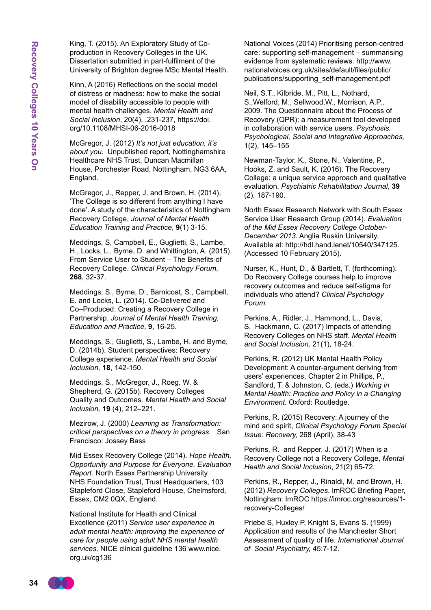King, T. (2015). An Exploratory Study of Coproduction in Recovery Colleges in the UK. Dissertation submitted in part-fulfilment of the University of Brighton degree MSc Mental Health.

Kinn, A (2016) Reflections on the social model of distress or madness: how to make the social model of disability accessible to people with mental health challenges. *Mental Health and Social Inclusion*, 20(4), .231-237, https://doi. org/10.1108/MHSI-06-2016-0018

McGregor, J. (2012) *It's not just education, it's about you*. Unpublished report, Nottinghamshire Healthcare NHS Trust, Duncan Macmillan House, Porchester Road, Nottingham, NG3 6AA, England.

McGregor, J., Repper, J. and Brown, H. (2014), 'The College is so different from anything I have done'. A study of the characteristics of Nottingham Recovery College, *Journal of Mental Health Education Training and Practice*, **9**(1) 3-15.

Meddings, S, Campbell, E., Guglietti, S., Lambe, H., Locks, L., Byrne, D. and Whittington, A. (2015). From Service User to Student – The Benefits of Recovery College. *Clinical Psychology Forum*, **268**, 32-37.

Meddings, S., Byrne, D., Barnicoat, S., Campbell, E. and Locks, L. (2014). Co-Delivered and Co–Produced: Creating a Recovery College in Partnership. *Journal of Mental Health Training, Education and Practice*, **9**, 16-25.

Meddings, S., Guglietti, S., Lambe, H. and Byrne, D. (2014b). Student perspectives: Recovery College experience. *Mental Health and Social Inclusion,* **18**, 142-150.

Meddings, S., McGregor, J., Roeg, W. & Shepherd, G. (2015b). Recovery Colleges Quality and Outcomes. *Mental Health and Social Inclusion,* **19** (4), 212–221.

Mezirow, J. (2000) *Learning as Transformation: critical perspectives on a theory in progress*. San Francisco: Jossey Bass

Mid Essex Recovery College (2014). *Hope Health, Opportunity and Purpose for Everyone. Evaluation Report.* North Essex Partnership University NHS Foundation Trust, Trust Headquarters, 103 Stapleford Close, Stapleford House, Chelmsford, Essex, CM2 0QX, England.

National Institute for Health and Clinical Excellence (2011) *Service user experience in adult mental health: improving the experience of care for people using adult NHS mental health services,* NICE clinical guideline 136 www.nice. org.uk/cg136

National Voices (2014) Prioritising person-centred care: supporting self-management – summarising evidence from systematic reviews. http://www. nationalvoices.org.uk/sites/default/files/public/ publications/supporting\_self-management.pdf

Neil, S.T., Kilbride, M., Pitt, L., Nothard, S.,Welford, M., Sellwood,W., Morrison, A.P., 2009. The Questionnaire about the Process of Recovery (QPR): a measurement tool developed in collaboration with service users. *Psychosis. Psychological, Social and Integrative Approaches,* 1(2), 145–155

Newman-Taylor, K., Stone, N., Valentine, P., Hooks, Z. and Sault, K. (2016). The Recovery College: a unique service approach and qualitative evaluation. *Psychiatric Rehabilitation Journal*, **39**  (2), 187-190.

North Essex Research Network with South Essex Service User Research Group (2014). *Evaluation of the Mid Essex Recovery College October-December 2013.* Anglia Ruskin University. Available at: http://hdl.hand.lenet/10540/347125. (Accessed 10 February 2015).

Nurser, K., Hunt, D., & Bartlett, T. (forthcoming). Do Recovery College courses help to improve recovery outcomes and reduce self-stigma for individuals who attend? *Clinical Psychology Forum.*

Perkins, A., Ridler, J., Hammond, L., Davis, S. Hackmann, C. (2017) Impacts of attending Recovery Colleges on NHS staff. *Mental Health and Social Inclusion,* 21(1), 18-24.

Perkins, R. (2012) UK Mental Health Policy Development: A counter-argument deriving from users' experiences, Chapter 2 in Phillips, P., Sandford, T. & Johnston, C. (eds.) *Working in Mental Health: Practice and Policy in a Changing Environment.* Oxford: Routledge.

Perkins, R. (2015) Recovery: A journey of the mind and spirit, *Clinical Psychology Forum Special Issue: Recovery,* 268 (April), 38-43

Perkins, R. and Repper, J. (2017) When is a Recovery College not a Recovery College, *Mental Health and Social Inclusion*, 21(2) 65-72.

Perkins, R., Repper, J., Rinaldi, M. and Brown, H. (2012) *Recovery Colleges*. ImROC Briefing Paper, Nottingham: ImROC https://imroc.org/resources/1 recovery-Colleges/

Priebe S, Huxley P, Knight S, Evans S. (1999) Application and results of the Manchester Short Assessment of quality of life. *International Journal of Social Psychiatry,* 45:7-12.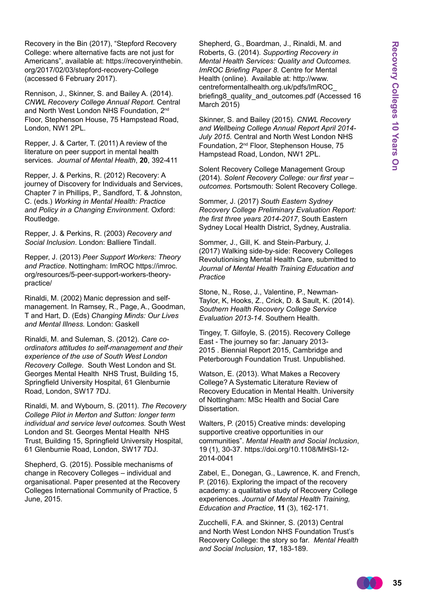Recovery in the Bin (2017), "Stepford Recovery College: where alternative facts are not just for Americans", available at: https://recoveryinthebin. org/2017/02/03/stepford-recovery-College (accessed 6 February 2017).

Rennison, J., Skinner, S. and Bailey A. (2014). *CNWL Recovery College Annual Report.* Central and North West London NHS Foundation, 2<sup>nd</sup> Floor, Stephenson House, 75 Hampstead Road, London, NW1 2PL.

Repper, J. & Carter, T. (2011) A review of the literature on peer support in mental health services. *Journal of Mental Health*, **20**, 392-411

Repper, J. & Perkins, R. (2012) Recovery: A journey of Discovery for Individuals and Services, Chapter 7 in Phillips, P., Sandford, T. & Johnston, C. (eds.) *Working in Mental Health: Practice and Policy in a Changing Environment.* Oxford: Routledge.

Repper, J. & Perkins, R. (2003) *Recovery and Social Inclusion*. London: Balliere Tindall.

Repper, J. (2013) *Peer Support Workers: Theory and Practice*. Nottingham: ImROC https://imroc. org/resources/5-peer-support-workers-theorypractice/

Rinaldi, M. (2002) Manic depression and selfmanagement. In Ramsey, R., Page, A., Goodman, T and Hart, D. (Eds) *Changing Minds: Our Lives and Mental Illness.* London: Gaskell

Rinaldi, M. and Suleman, S. (2012). *Care coordinators attitudes to self-management and their experience of the use of South West London Recovery College*. South West London and St. Georges Mental Health NHS Trust, Building 15, Springfield University Hospital, 61 Glenburnie Road, London, SW17 7DJ.

Rinaldi, M. and Wybourn, S. (2011). *The Recovery College Pilot in Merton and Sutton: longer term individual and service level outcomes.* South West London and St. Georges Mental Health NHS Trust, Building 15, Springfield University Hospital, 61 Glenburnie Road, London, SW17 7DJ.

Shepherd, G. (2015). Possible mechanisms of change in Recovery Colleges – individual and organisational. Paper presented at the Recovery Colleges International Community of Practice, 5 June, 2015.

Shepherd, G., Boardman, J., Rinaldi, M. and Roberts, G. (2014). *Supporting Recovery in Mental Health Services: Quality and Outcomes. ImROC Briefing Paper 8*. Centre for Mental Health (online). Available at: http://www. centreformentalhealth.org.uk/pdfs/ImROC\_ briefing8\_quality\_and\_outcomes.pdf (Accessed 16 March 2015)

Skinner, S. and Bailey (2015). *CNWL Recovery and Wellbeing College Annual Report April 2014- July 2015.* Central and North West London NHS Foundation, 2nd Floor, Stephenson House, 75 Hampstead Road, London, NW1 2PL.

Solent Recovery College Management Group (2014). *Solent Recovery College: our first year – outcomes.* Portsmouth: Solent Recovery College.

Sommer, J. (2017) *South Eastern Sydney Recovery College Preliminary Evaluation Report: the first three years 2014-2017*, South Eastern Sydney Local Health District, Sydney, Australia.

Sommer, J., Gill, K. and Stein-Parbury, J. (2017) Walking side-by-side: Recovery Colleges Revolutionising Mental Health Care, submitted to *Journal of Mental Health Training Education and Practice*

Stone, N., Rose, J., Valentine, P., Newman-Taylor, K, Hooks, Z., Crick, D. & Sault, K. (2014). *Southern Health Recovery College Service Evaluation 2013-14*. Southern Health.

Tingey, T. Gilfoyle, S. (2015). Recovery College East - The journey so far: January 2013- 2015 . Biennial Report 2015, Cambridge and Peterborough Foundation Trust. Unpublished.

Watson, E. (2013). What Makes a Recovery College? A Systematic Literature Review of Recovery Education in Mental Health. University of Nottingham: MSc Health and Social Care Dissertation.

Walters, P. (2015) Creative minds: developing supportive creative opportunities in our communities". *Mental Health and Social Inclusion*, 19 (1), 30-37. https://doi.org/10.1108/MHSI-12- 2014-0041

Zabel, E., Donegan, G., Lawrence, K. and French, P. (2016). Exploring the impact of the recovery academy: a qualitative study of Recovery College experiences. *Journal of Mental Health Training, Education and Practice*, **11** (3), 162-171.

Zucchelli, F.A. and Skinner, S. (2013) Central and North West London NHS Foundation Trust's Recovery College: the story so far. *Mental Health and Social Inclusion*, **17**, 183-189.